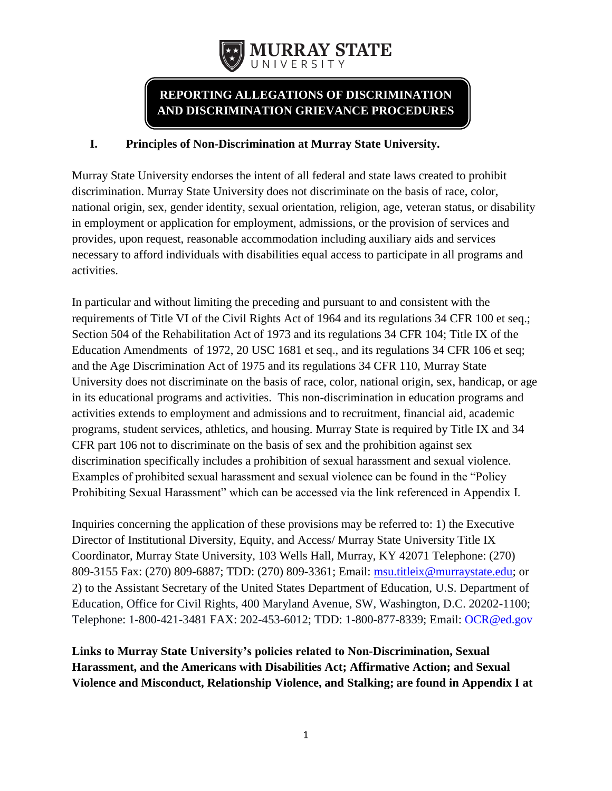

# **REPORTING ALLEGATIONS OF DISCRIMINATION AND DISCRIMINATION GRIEVANCE PROCEDURES**

## **I. Principles of Non-Discrimination at Murray State University.**

Murray State University endorses the intent of all federal and state laws created to prohibit discrimination. Murray State University does not discriminate on the basis of race, color, national origin, sex, gender identity, sexual orientation, religion, age, veteran status, or disability in employment or application for employment, admissions, or the provision of services and provides, upon request, reasonable accommodation including auxiliary aids and services necessary to afford individuals with disabilities equal access to participate in all programs and activities.

In particular and without limiting the preceding and pursuant to and consistent with the requirements of Title VI of the Civil Rights Act of 1964 and its regulations 34 CFR 100 et seq.; Section 504 of the Rehabilitation Act of 1973 and its regulations 34 CFR 104; Title IX of the Education Amendments of 1972, 20 USC 1681 et seq., and its regulations 34 CFR 106 et seq; and the Age Discrimination Act of 1975 and its regulations 34 CFR 110, Murray State University does not discriminate on the basis of race, color, national origin, sex, handicap, or age in its educational programs and activities. This non-discrimination in education programs and activities extends to employment and admissions and to recruitment, financial aid, academic programs, student services, athletics, and housing. Murray State is required by Title IX and 34 CFR part 106 not to discriminate on the basis of sex and the prohibition against sex discrimination specifically includes a prohibition of sexual harassment and sexual violence. Examples of prohibited sexual harassment and sexual violence can be found in the "Policy Prohibiting Sexual Harassment" which can be accessed via the link referenced in Appendix I.

Inquiries concerning the application of these provisions may be referred to: 1) the Executive Director of Institutional Diversity, Equity, and Access/ Murray State University Title IX Coordinator, Murray State University, 103 Wells Hall, Murray, KY 42071 Telephone: (270) 809-3155 Fax: (270) 809-6887; TDD: (270) 809-3361; Email: [msu.titleix@murraystate.edu;](mailto:msu.titleix@murraystate.edu) or 2) to the Assistant Secretary of the United States Department of Education, U.S. Department of Education, Office for Civil Rights, 400 Maryland Avenue, SW, Washington, D.C. 20202-1100; Telephone: 1-800-421-3481 FAX: 202-453-6012; TDD: 1-800-877-8339; Email: [OCR@ed.gov](mailto:OCR@ed.gov)

**Links to Murray State University's policies related to Non-Discrimination, Sexual Harassment, and the Americans with Disabilities Act; Affirmative Action; and Sexual Violence and Misconduct, Relationship Violence, and Stalking; are found in Appendix I at**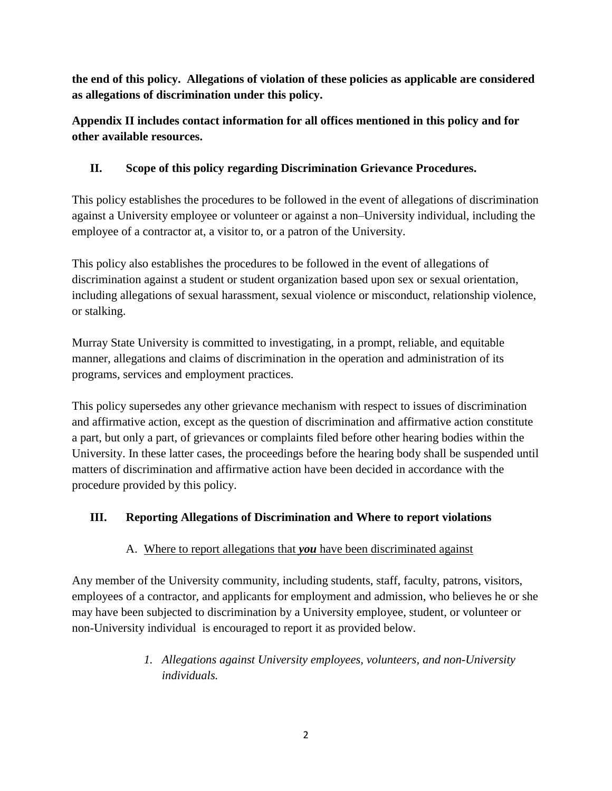**the end of this policy. Allegations of violation of these policies as applicable are considered as allegations of discrimination under this policy.**

**Appendix II includes contact information for all offices mentioned in this policy and for other available resources.**

# **II. Scope of this policy regarding Discrimination Grievance Procedures.**

This policy establishes the procedures to be followed in the event of allegations of discrimination against a University employee or volunteer or against a non–University individual, including the employee of a contractor at, a visitor to, or a patron of the University.

This policy also establishes the procedures to be followed in the event of allegations of discrimination against a student or student organization based upon sex or sexual orientation, including allegations of sexual harassment, sexual violence or misconduct, relationship violence, or stalking.

Murray State University is committed to investigating, in a prompt, reliable, and equitable manner, allegations and claims of discrimination in the operation and administration of its programs, services and employment practices.

This policy supersedes any other grievance mechanism with respect to issues of discrimination and affirmative action, except as the question of discrimination and affirmative action constitute a part, but only a part, of grievances or complaints filed before other hearing bodies within the University. In these latter cases, the proceedings before the hearing body shall be suspended until matters of discrimination and affirmative action have been decided in accordance with the procedure provided by this policy.

# **III. Reporting Allegations of Discrimination and Where to report violations**

# A. Where to report allegations that *you* have been discriminated against

Any member of the University community, including students, staff, faculty, patrons, visitors, employees of a contractor, and applicants for employment and admission, who believes he or she may have been subjected to discrimination by a University employee, student, or volunteer or non-University individual is encouraged to report it as provided below.

> *1. Allegations against University employees, volunteers, and non-University individuals.*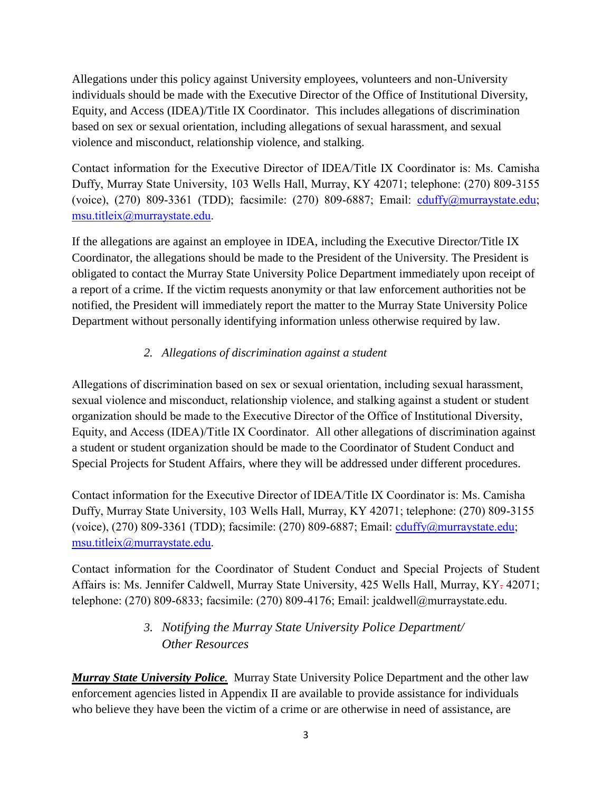Allegations under this policy against University employees, volunteers and non-University individuals should be made with the Executive Director of the Office of Institutional Diversity, Equity, and Access (IDEA)/Title IX Coordinator. This includes allegations of discrimination based on sex or sexual orientation, including allegations of sexual harassment, and sexual violence and misconduct, relationship violence, and stalking.

Contact information for the Executive Director of IDEA/Title IX Coordinator is: Ms. Camisha Duffy, Murray State University, 103 Wells Hall, Murray, KY 42071; telephone: (270) 809-3155 (voice), (270) 809-3361 (TDD); facsimile: (270) 809-6887; Email: [cduffy@murraystate.edu;](mailto:cduffy@murraystate.edu) [msu.titleix@murraystate.edu.](mailto:msu.titleix@murraystate.edu)

If the allegations are against an employee in IDEA, including the Executive Director/Title IX Coordinator, the allegations should be made to the President of the University. The President is obligated to contact the Murray State University Police Department immediately upon receipt of a report of a crime. If the victim requests anonymity or that law enforcement authorities not be notified, the President will immediately report the matter to the Murray State University Police Department without personally identifying information unless otherwise required by law.

# *2. Allegations of discrimination against a student*

Allegations of discrimination based on sex or sexual orientation, including sexual harassment, sexual violence and misconduct, relationship violence, and stalking against a student or student organization should be made to the Executive Director of the Office of Institutional Diversity, Equity, and Access (IDEA)/Title IX Coordinator. All other allegations of discrimination against a student or student organization should be made to the Coordinator of Student Conduct and Special Projects for Student Affairs, where they will be addressed under different procedures.

Contact information for the Executive Director of IDEA/Title IX Coordinator is: Ms. Camisha Duffy, Murray State University, 103 Wells Hall, Murray, KY 42071; telephone: (270) 809-3155 (voice), (270) 809-3361 (TDD); facsimile: (270) 809-6887; Email: [cduffy@murraystate.edu;](mailto:cduffy@murraystate.edu) [msu.titleix@murraystate.edu.](mailto:msu.titleix@murraystate.edu)

Contact information for the Coordinator of Student Conduct and Special Projects of Student Affairs is: Ms. Jennifer Caldwell, Murray State University, 425 Wells Hall, Murray, KY. 42071; telephone: (270) 809-6833; facsimile: (270) 809-4176; Email: jcaldwell@murraystate.edu.

# *3. Notifying the Murray State University Police Department/ Other Resources*

*Murray State University Police.* Murray State University Police Department and the other law enforcement agencies listed in Appendix II are available to provide assistance for individuals who believe they have been the victim of a crime or are otherwise in need of assistance, are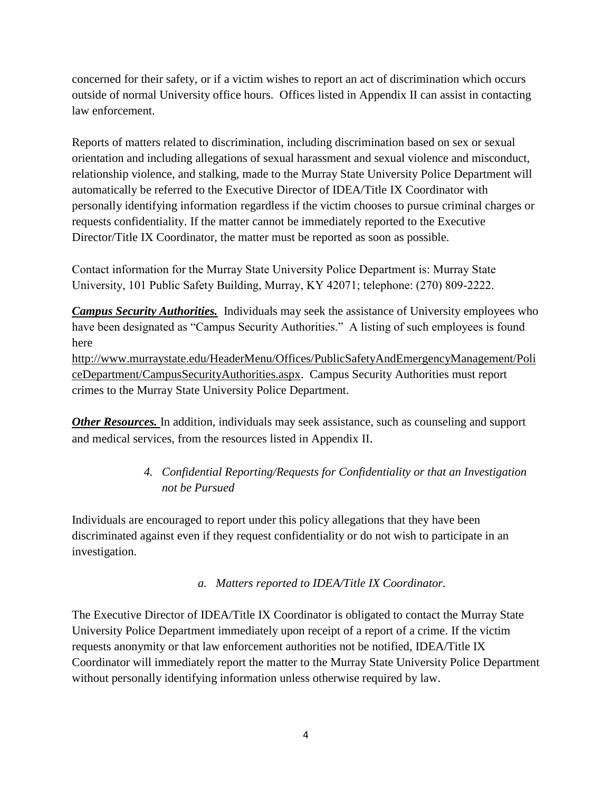concerned for their safety, or if a victim wishes to report an act of discrimination which occurs outside of normal University office hours. Offices listed in Appendix II can assist in contacting law enforcement.

Reports of matters related to discrimination, including discrimination based on sex or sexual orientation and including allegations of sexual harassment and sexual violence and misconduct, relationship violence, and stalking, made to the Murray State University Police Department will automatically be referred to the Executive Director of IDEA/Title IX Coordinator with personally identifying information regardless if the victim chooses to pursue criminal charges or requests confidentiality. If the matter cannot be immediately reported to the Executive Director/Title IX Coordinator, the matter must be reported as soon as possible.

Contact information for the Murray State University Police Department is: Murray State University, 101 Public Safety Building, Murray, KY 42071; telephone: (270) 809-2222.

*Campus Security Authorities.* Individuals may seek the assistance of University employees who have been designated as "Campus Security Authorities." A listing of such employees is found here

[http://www.murraystate.edu/HeaderMenu/Offices/PublicSafetyAndEmergencyManagement/Poli](http://www.murraystate.edu/HeaderMenu/Offices/PublicSafetyAndEmergencyManagement/PoliceDepartment/CampusSecurityAuthorities.aspx) [ceDepartment/CampusSecurityAuthorities.aspx.](http://www.murraystate.edu/HeaderMenu/Offices/PublicSafetyAndEmergencyManagement/PoliceDepartment/CampusSecurityAuthorities.aspx) Campus Security Authorities must report crimes to the Murray State University Police Department.

**Other Resources.** In addition, individuals may seek assistance, such as counseling and support and medical services, from the resources listed in Appendix II.

# *4. Confidential Reporting/Requests for Confidentiality or that an Investigation not be Pursued*

Individuals are encouraged to report under this policy allegations that they have been discriminated against even if they request confidentiality or do not wish to participate in an investigation.

*a. Matters reported to IDEA/Title IX Coordinator.*

The Executive Director of IDEA/Title IX Coordinator is obligated to contact the Murray State University Police Department immediately upon receipt of a report of a crime. If the victim requests anonymity or that law enforcement authorities not be notified, IDEA/Title IX Coordinator will immediately report the matter to the Murray State University Police Department without personally identifying information unless otherwise required by law.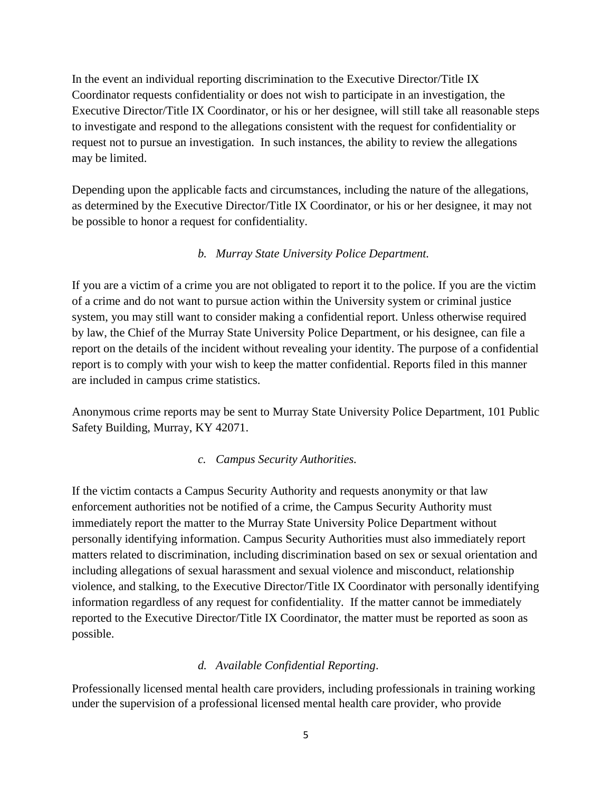In the event an individual reporting discrimination to the Executive Director/Title IX Coordinator requests confidentiality or does not wish to participate in an investigation, the Executive Director/Title IX Coordinator, or his or her designee, will still take all reasonable steps to investigate and respond to the allegations consistent with the request for confidentiality or request not to pursue an investigation. In such instances, the ability to review the allegations may be limited.

Depending upon the applicable facts and circumstances, including the nature of the allegations, as determined by the Executive Director/Title IX Coordinator, or his or her designee, it may not be possible to honor a request for confidentiality.

# *b. Murray State University Police Department.*

If you are a victim of a crime you are not obligated to report it to the police. If you are the victim of a crime and do not want to pursue action within the University system or criminal justice system, you may still want to consider making a confidential report. Unless otherwise required by law, the Chief of the Murray State University Police Department, or his designee, can file a report on the details of the incident without revealing your identity. The purpose of a confidential report is to comply with your wish to keep the matter confidential. Reports filed in this manner are included in campus crime statistics.

Anonymous crime reports may be sent to Murray State University Police Department, 101 Public Safety Building, Murray, KY 42071.

## *c. Campus Security Authorities.*

If the victim contacts a Campus Security Authority and requests anonymity or that law enforcement authorities not be notified of a crime, the Campus Security Authority must immediately report the matter to the Murray State University Police Department without personally identifying information. Campus Security Authorities must also immediately report matters related to discrimination, including discrimination based on sex or sexual orientation and including allegations of sexual harassment and sexual violence and misconduct, relationship violence, and stalking, to the Executive Director/Title IX Coordinator with personally identifying information regardless of any request for confidentiality. If the matter cannot be immediately reported to the Executive Director/Title IX Coordinator, the matter must be reported as soon as possible.

## *d. Available Confidential Reporting*.

Professionally licensed mental health care providers, including professionals in training working under the supervision of a professional licensed mental health care provider, who provide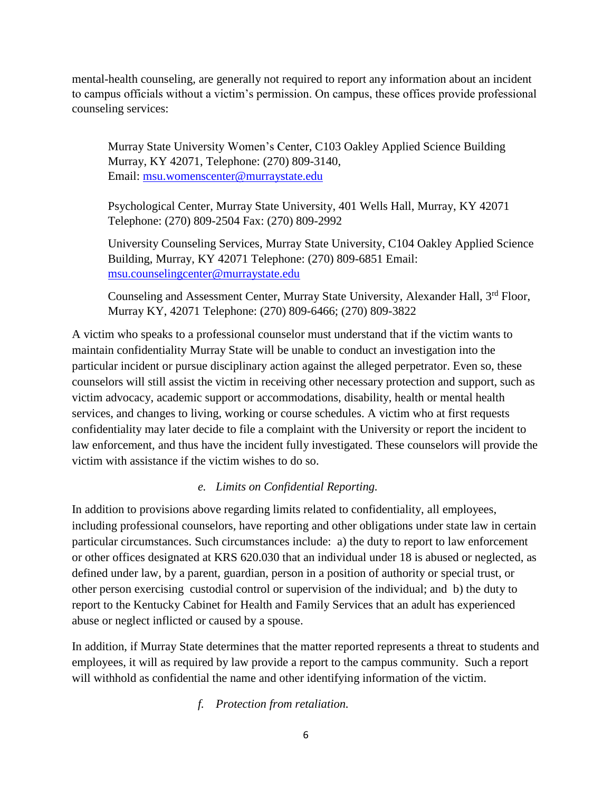mental-health counseling, are generally not required to report any information about an incident to campus officials without a victim's permission. On campus, these offices provide professional counseling services:

Murray State University Women's Center, C103 Oakley Applied Science Building Murray, KY 42071, Telephone: (270) 809-3140, Email: [msu.womenscenter@murraystate.edu](mailto:msu.womenscenter@murraystate.edu)

Psychological Center, Murray State University, 401 Wells Hall, Murray, KY 42071 Telephone: (270) 809-2504 Fax: (270) 809-2992

University Counseling Services, Murray State University, C104 Oakley Applied Science Building, Murray, KY 42071 Telephone: (270) 809-6851 Email: [msu.counselingcenter@murraystate.edu](mailto:msu.counselingcenter@murraystate.edu)

Counseling and Assessment Center, Murray State University, Alexander Hall, 3<sup>rd</sup> Floor, Murray KY, 42071 Telephone: (270) 809-6466; (270) 809-3822

A victim who speaks to a professional counselor must understand that if the victim wants to maintain confidentiality Murray State will be unable to conduct an investigation into the particular incident or pursue disciplinary action against the alleged perpetrator. Even so, these counselors will still assist the victim in receiving other necessary protection and support, such as victim advocacy, academic support or accommodations, disability, health or mental health services, and changes to living, working or course schedules. A victim who at first requests confidentiality may later decide to file a complaint with the University or report the incident to law enforcement, and thus have the incident fully investigated. These counselors will provide the victim with assistance if the victim wishes to do so.

## *e. Limits on Confidential Reporting.*

In addition to provisions above regarding limits related to confidentiality, all employees, including professional counselors, have reporting and other obligations under state law in certain particular circumstances. Such circumstances include: a) the duty to report to law enforcement or other offices designated at KRS 620.030 that an individual under 18 is abused or neglected, as defined under law, by a parent, guardian, person in a position of authority or special trust, or other person exercising custodial control or supervision of the individual; and b) the duty to report to the Kentucky Cabinet for Health and Family Services that an adult has experienced abuse or neglect inflicted or caused by a spouse.

In addition, if Murray State determines that the matter reported represents a threat to students and employees, it will as required by law provide a report to the campus community. Such a report will withhold as confidential the name and other identifying information of the victim.

*f. Protection from retaliation.*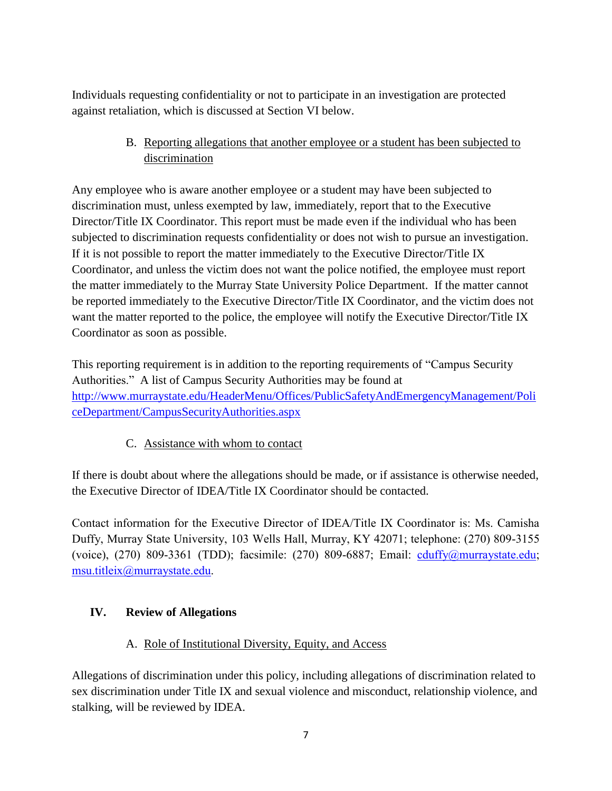Individuals requesting confidentiality or not to participate in an investigation are protected against retaliation, which is discussed at Section VI below.

> B. Reporting allegations that another employee or a student has been subjected to discrimination

Any employee who is aware another employee or a student may have been subjected to discrimination must, unless exempted by law, immediately, report that to the Executive Director/Title IX Coordinator. This report must be made even if the individual who has been subjected to discrimination requests confidentiality or does not wish to pursue an investigation. If it is not possible to report the matter immediately to the Executive Director/Title IX Coordinator, and unless the victim does not want the police notified, the employee must report the matter immediately to the Murray State University Police Department. If the matter cannot be reported immediately to the Executive Director/Title IX Coordinator, and the victim does not want the matter reported to the police, the employee will notify the Executive Director/Title IX Coordinator as soon as possible.

This reporting requirement is in addition to the reporting requirements of "Campus Security Authorities." A list of Campus Security Authorities may be found at [http://www.murraystate.edu/HeaderMenu/Offices/PublicSafetyAndEmergencyManagement/Poli](http://www.murraystate.edu/HeaderMenu/Offices/PublicSafetyAndEmergencyManagement/PoliceDepartment/CampusSecurityAuthorities.aspx) [ceDepartment/CampusSecurityAuthorities.aspx](http://www.murraystate.edu/HeaderMenu/Offices/PublicSafetyAndEmergencyManagement/PoliceDepartment/CampusSecurityAuthorities.aspx)

C. Assistance with whom to contact

If there is doubt about where the allegations should be made, or if assistance is otherwise needed, the Executive Director of IDEA/Title IX Coordinator should be contacted.

Contact information for the Executive Director of IDEA/Title IX Coordinator is: Ms. Camisha Duffy, Murray State University, 103 Wells Hall, Murray, KY 42071; telephone: (270) 809-3155 (voice), (270) 809-3361 (TDD); facsimile: (270) 809-6887; Email: [cduffy@murraystate.edu;](mailto:cduffy@murraystate.edu) [msu.titleix@murraystate.edu.](mailto:msu.titleix@murraystate.edu)

# **IV. Review of Allegations**

# A. Role of Institutional Diversity, Equity, and Access

Allegations of discrimination under this policy, including allegations of discrimination related to sex discrimination under Title IX and sexual violence and misconduct, relationship violence, and stalking, will be reviewed by IDEA.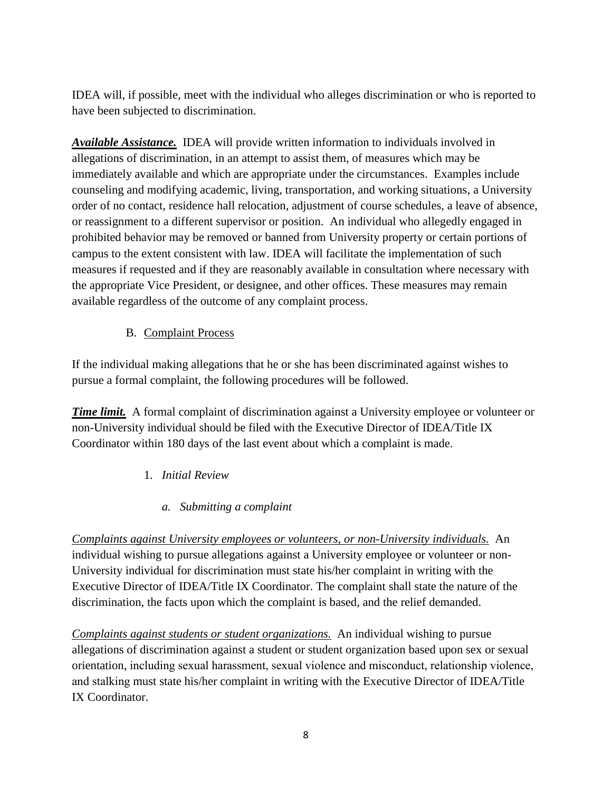IDEA will, if possible, meet with the individual who alleges discrimination or who is reported to have been subjected to discrimination.

*Available Assistance.* IDEA will provide written information to individuals involved in allegations of discrimination, in an attempt to assist them, of measures which may be immediately available and which are appropriate under the circumstances. Examples include counseling and modifying academic, living, transportation, and working situations, a University order of no contact, residence hall relocation, adjustment of course schedules, a leave of absence, or reassignment to a different supervisor or position. An individual who allegedly engaged in prohibited behavior may be removed or banned from University property or certain portions of campus to the extent consistent with law. IDEA will facilitate the implementation of such measures if requested and if they are reasonably available in consultation where necessary with the appropriate Vice President, or designee, and other offices. These measures may remain available regardless of the outcome of any complaint process.

# B. Complaint Process

If the individual making allegations that he or she has been discriminated against wishes to pursue a formal complaint, the following procedures will be followed.

*Time limit.* A formal complaint of discrimination against a University employee or volunteer or non-University individual should be filed with the Executive Director of IDEA/Title IX Coordinator within 180 days of the last event about which a complaint is made.

# 1. *Initial Review*

## *a. Submitting a complaint*

*Complaints against University employees or volunteers, or non-University individuals.* An individual wishing to pursue allegations against a University employee or volunteer or non-University individual for discrimination must state his/her complaint in writing with the Executive Director of IDEA/Title IX Coordinator. The complaint shall state the nature of the discrimination, the facts upon which the complaint is based, and the relief demanded.

*Complaints against students or student organizations.* An individual wishing to pursue allegations of discrimination against a student or student organization based upon sex or sexual orientation, including sexual harassment, sexual violence and misconduct, relationship violence, and stalking must state his/her complaint in writing with the Executive Director of IDEA/Title IX Coordinator.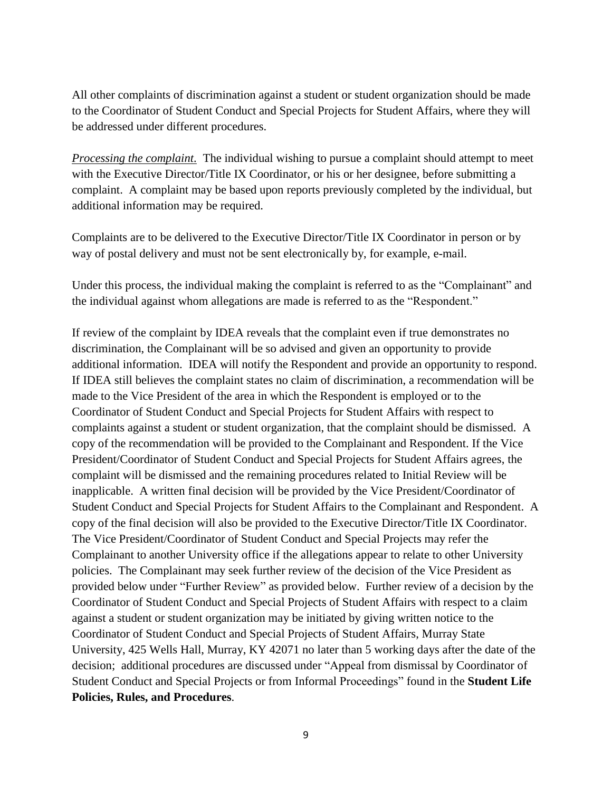All other complaints of discrimination against a student or student organization should be made to the Coordinator of Student Conduct and Special Projects for Student Affairs, where they will be addressed under different procedures.

*Processing the complaint.* The individual wishing to pursue a complaint should attempt to meet with the Executive Director/Title IX Coordinator, or his or her designee, before submitting a complaint. A complaint may be based upon reports previously completed by the individual, but additional information may be required.

Complaints are to be delivered to the Executive Director/Title IX Coordinator in person or by way of postal delivery and must not be sent electronically by, for example, e-mail.

Under this process, the individual making the complaint is referred to as the "Complainant" and the individual against whom allegations are made is referred to as the "Respondent."

If review of the complaint by IDEA reveals that the complaint even if true demonstrates no discrimination, the Complainant will be so advised and given an opportunity to provide additional information. IDEA will notify the Respondent and provide an opportunity to respond. If IDEA still believes the complaint states no claim of discrimination, a recommendation will be made to the Vice President of the area in which the Respondent is employed or to the Coordinator of Student Conduct and Special Projects for Student Affairs with respect to complaints against a student or student organization, that the complaint should be dismissed. A copy of the recommendation will be provided to the Complainant and Respondent. If the Vice President/Coordinator of Student Conduct and Special Projects for Student Affairs agrees, the complaint will be dismissed and the remaining procedures related to Initial Review will be inapplicable. A written final decision will be provided by the Vice President/Coordinator of Student Conduct and Special Projects for Student Affairs to the Complainant and Respondent. A copy of the final decision will also be provided to the Executive Director/Title IX Coordinator. The Vice President/Coordinator of Student Conduct and Special Projects may refer the Complainant to another University office if the allegations appear to relate to other University policies. The Complainant may seek further review of the decision of the Vice President as provided below under "Further Review" as provided below. Further review of a decision by the Coordinator of Student Conduct and Special Projects of Student Affairs with respect to a claim against a student or student organization may be initiated by giving written notice to the Coordinator of Student Conduct and Special Projects of Student Affairs, Murray State University, 425 Wells Hall, Murray, KY 42071 no later than 5 working days after the date of the decision; additional procedures are discussed under "Appeal from dismissal by Coordinator of Student Conduct and Special Projects or from Informal Proceedings" found in the **Student Life Policies, Rules, and Procedures**.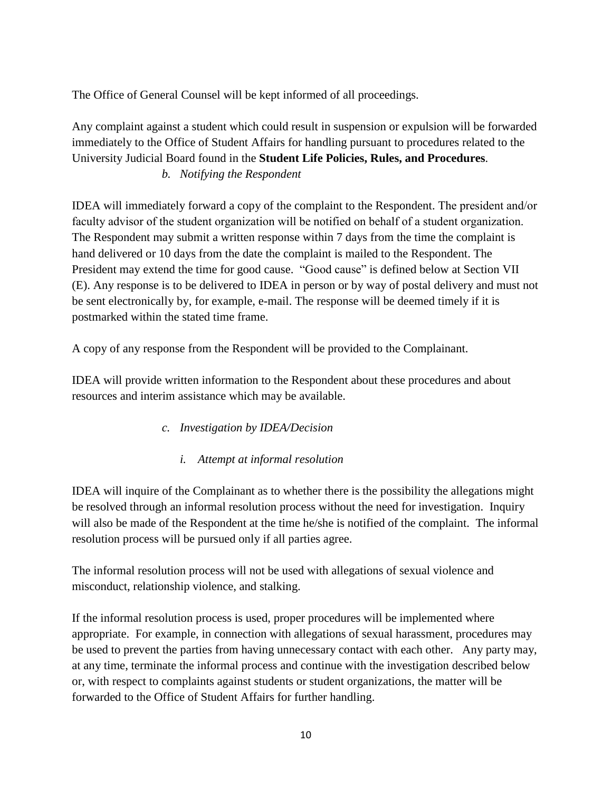The Office of General Counsel will be kept informed of all proceedings.

Any complaint against a student which could result in suspension or expulsion will be forwarded immediately to the Office of Student Affairs for handling pursuant to procedures related to the University Judicial Board found in the **Student Life Policies, Rules, and Procedures**.

*b. Notifying the Respondent*

IDEA will immediately forward a copy of the complaint to the Respondent. The president and/or faculty advisor of the student organization will be notified on behalf of a student organization. The Respondent may submit a written response within 7 days from the time the complaint is hand delivered or 10 days from the date the complaint is mailed to the Respondent. The President may extend the time for good cause. "Good cause" is defined below at Section VII (E). Any response is to be delivered to IDEA in person or by way of postal delivery and must not be sent electronically by, for example, e-mail. The response will be deemed timely if it is postmarked within the stated time frame.

A copy of any response from the Respondent will be provided to the Complainant.

IDEA will provide written information to the Respondent about these procedures and about resources and interim assistance which may be available.

- *c. Investigation by IDEA/Decision*
	- *i. Attempt at informal resolution*

IDEA will inquire of the Complainant as to whether there is the possibility the allegations might be resolved through an informal resolution process without the need for investigation. Inquiry will also be made of the Respondent at the time he/she is notified of the complaint. The informal resolution process will be pursued only if all parties agree.

The informal resolution process will not be used with allegations of sexual violence and misconduct, relationship violence, and stalking.

If the informal resolution process is used, proper procedures will be implemented where appropriate. For example, in connection with allegations of sexual harassment, procedures may be used to prevent the parties from having unnecessary contact with each other. Any party may, at any time, terminate the informal process and continue with the investigation described below or, with respect to complaints against students or student organizations, the matter will be forwarded to the Office of Student Affairs for further handling.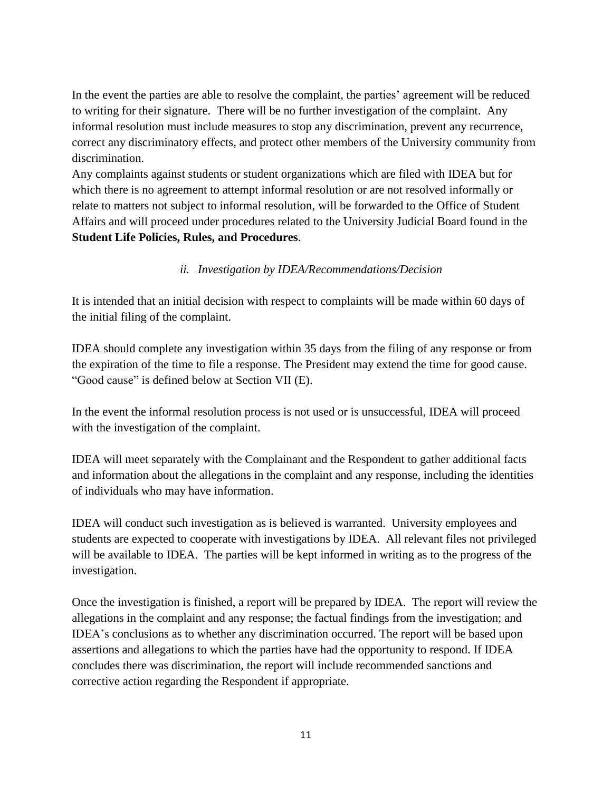In the event the parties are able to resolve the complaint, the parties' agreement will be reduced to writing for their signature. There will be no further investigation of the complaint. Any informal resolution must include measures to stop any discrimination, prevent any recurrence, correct any discriminatory effects, and protect other members of the University community from discrimination.

Any complaints against students or student organizations which are filed with IDEA but for which there is no agreement to attempt informal resolution or are not resolved informally or relate to matters not subject to informal resolution, will be forwarded to the Office of Student Affairs and will proceed under procedures related to the University Judicial Board found in the **Student Life Policies, Rules, and Procedures**.

# *ii. Investigation by IDEA/Recommendations/Decision*

It is intended that an initial decision with respect to complaints will be made within 60 days of the initial filing of the complaint.

IDEA should complete any investigation within 35 days from the filing of any response or from the expiration of the time to file a response. The President may extend the time for good cause. "Good cause" is defined below at Section VII (E).

In the event the informal resolution process is not used or is unsuccessful, IDEA will proceed with the investigation of the complaint.

IDEA will meet separately with the Complainant and the Respondent to gather additional facts and information about the allegations in the complaint and any response, including the identities of individuals who may have information.

IDEA will conduct such investigation as is believed is warranted. University employees and students are expected to cooperate with investigations by IDEA. All relevant files not privileged will be available to IDEA. The parties will be kept informed in writing as to the progress of the investigation.

Once the investigation is finished, a report will be prepared by IDEA. The report will review the allegations in the complaint and any response; the factual findings from the investigation; and IDEA's conclusions as to whether any discrimination occurred. The report will be based upon assertions and allegations to which the parties have had the opportunity to respond. If IDEA concludes there was discrimination, the report will include recommended sanctions and corrective action regarding the Respondent if appropriate.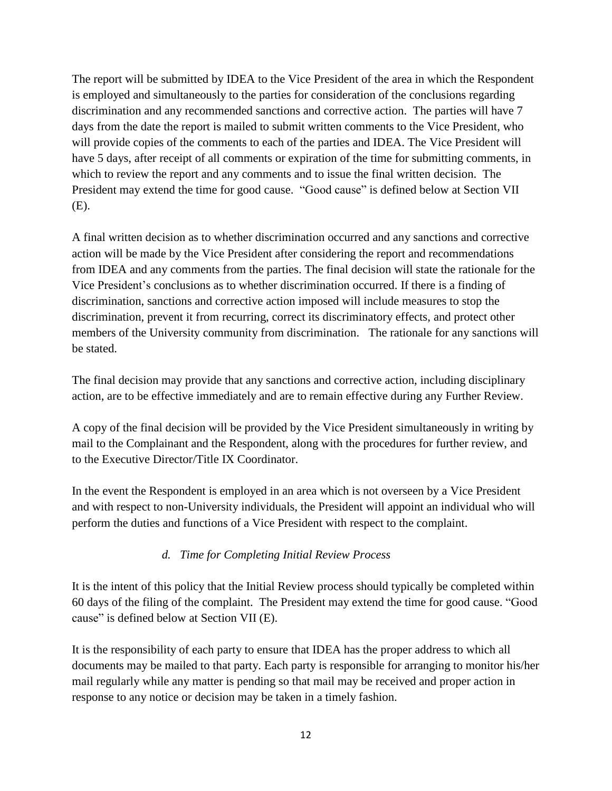The report will be submitted by IDEA to the Vice President of the area in which the Respondent is employed and simultaneously to the parties for consideration of the conclusions regarding discrimination and any recommended sanctions and corrective action. The parties will have 7 days from the date the report is mailed to submit written comments to the Vice President, who will provide copies of the comments to each of the parties and IDEA. The Vice President will have 5 days, after receipt of all comments or expiration of the time for submitting comments, in which to review the report and any comments and to issue the final written decision. The President may extend the time for good cause. "Good cause" is defined below at Section VII (E).

A final written decision as to whether discrimination occurred and any sanctions and corrective action will be made by the Vice President after considering the report and recommendations from IDEA and any comments from the parties. The final decision will state the rationale for the Vice President's conclusions as to whether discrimination occurred. If there is a finding of discrimination, sanctions and corrective action imposed will include measures to stop the discrimination, prevent it from recurring, correct its discriminatory effects, and protect other members of the University community from discrimination. The rationale for any sanctions will be stated.

The final decision may provide that any sanctions and corrective action, including disciplinary action, are to be effective immediately and are to remain effective during any Further Review.

A copy of the final decision will be provided by the Vice President simultaneously in writing by mail to the Complainant and the Respondent, along with the procedures for further review, and to the Executive Director/Title IX Coordinator.

In the event the Respondent is employed in an area which is not overseen by a Vice President and with respect to non-University individuals, the President will appoint an individual who will perform the duties and functions of a Vice President with respect to the complaint.

## *d. Time for Completing Initial Review Process*

It is the intent of this policy that the Initial Review process should typically be completed within 60 days of the filing of the complaint. The President may extend the time for good cause. "Good cause" is defined below at Section VII (E).

It is the responsibility of each party to ensure that IDEA has the proper address to which all documents may be mailed to that party. Each party is responsible for arranging to monitor his/her mail regularly while any matter is pending so that mail may be received and proper action in response to any notice or decision may be taken in a timely fashion.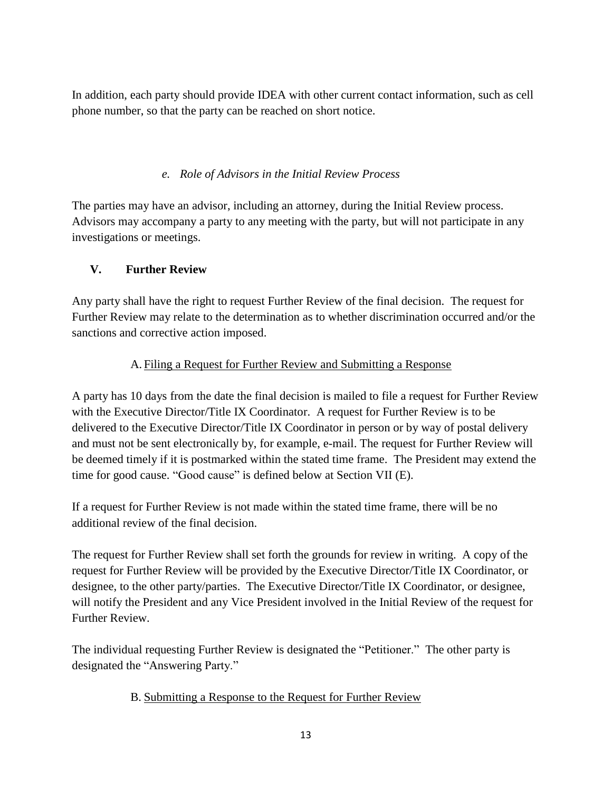In addition, each party should provide IDEA with other current contact information, such as cell phone number, so that the party can be reached on short notice.

# *e. Role of Advisors in the Initial Review Process*

The parties may have an advisor, including an attorney, during the Initial Review process. Advisors may accompany a party to any meeting with the party, but will not participate in any investigations or meetings.

# **V. Further Review**

Any party shall have the right to request Further Review of the final decision. The request for Further Review may relate to the determination as to whether discrimination occurred and/or the sanctions and corrective action imposed.

# A. Filing a Request for Further Review and Submitting a Response

A party has 10 days from the date the final decision is mailed to file a request for Further Review with the Executive Director/Title IX Coordinator. A request for Further Review is to be delivered to the Executive Director/Title IX Coordinator in person or by way of postal delivery and must not be sent electronically by, for example, e-mail. The request for Further Review will be deemed timely if it is postmarked within the stated time frame. The President may extend the time for good cause. "Good cause" is defined below at Section VII (E).

If a request for Further Review is not made within the stated time frame, there will be no additional review of the final decision.

The request for Further Review shall set forth the grounds for review in writing. A copy of the request for Further Review will be provided by the Executive Director/Title IX Coordinator, or designee, to the other party/parties. The Executive Director/Title IX Coordinator, or designee, will notify the President and any Vice President involved in the Initial Review of the request for Further Review.

The individual requesting Further Review is designated the "Petitioner." The other party is designated the "Answering Party."

## B. Submitting a Response to the Request for Further Review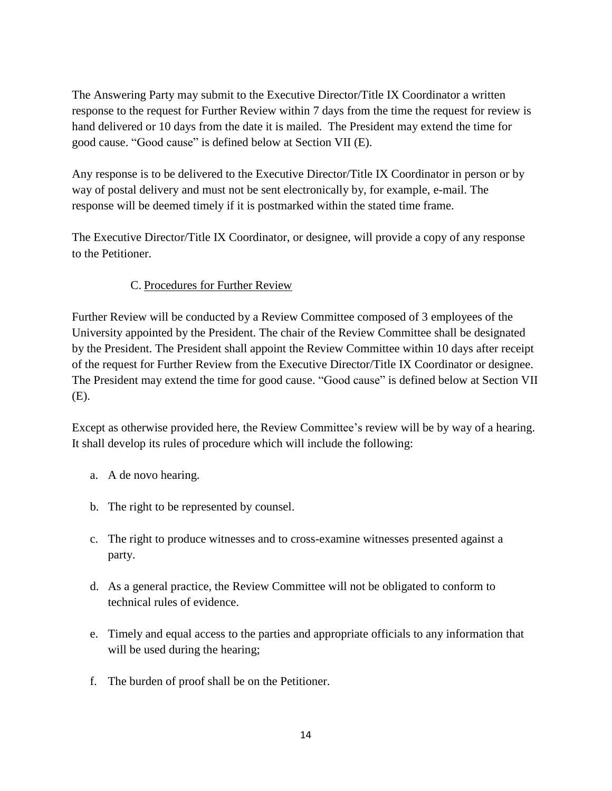The Answering Party may submit to the Executive Director/Title IX Coordinator a written response to the request for Further Review within 7 days from the time the request for review is hand delivered or 10 days from the date it is mailed. The President may extend the time for good cause. "Good cause" is defined below at Section VII (E).

Any response is to be delivered to the Executive Director/Title IX Coordinator in person or by way of postal delivery and must not be sent electronically by, for example, e-mail. The response will be deemed timely if it is postmarked within the stated time frame.

The Executive Director/Title IX Coordinator, or designee, will provide a copy of any response to the Petitioner.

# C. Procedures for Further Review

Further Review will be conducted by a Review Committee composed of 3 employees of the University appointed by the President. The chair of the Review Committee shall be designated by the President. The President shall appoint the Review Committee within 10 days after receipt of the request for Further Review from the Executive Director/Title IX Coordinator or designee. The President may extend the time for good cause. "Good cause" is defined below at Section VII (E).

Except as otherwise provided here, the Review Committee's review will be by way of a hearing. It shall develop its rules of procedure which will include the following:

- a. A de novo hearing.
- b. The right to be represented by counsel.
- c. The right to produce witnesses and to cross-examine witnesses presented against a party.
- d. As a general practice, the Review Committee will not be obligated to conform to technical rules of evidence.
- e. Timely and equal access to the parties and appropriate officials to any information that will be used during the hearing;
- f. The burden of proof shall be on the Petitioner.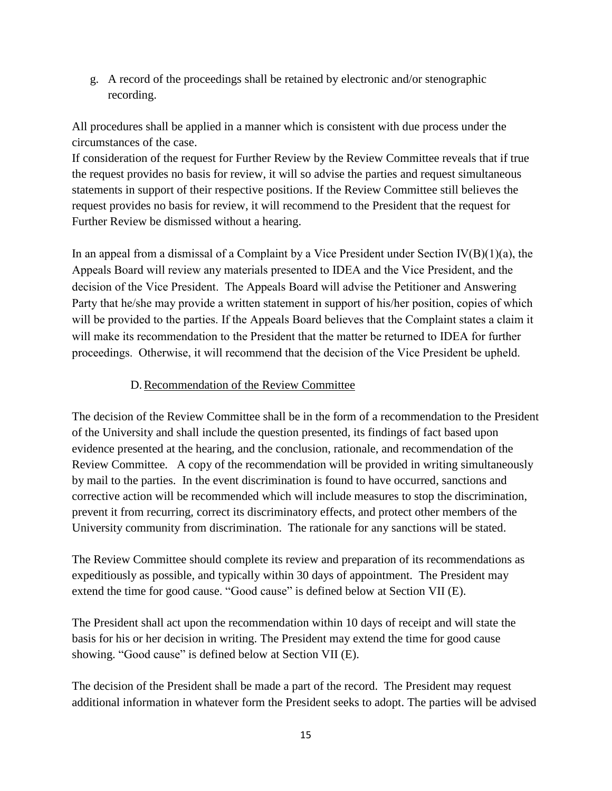g. A record of the proceedings shall be retained by electronic and/or stenographic recording.

All procedures shall be applied in a manner which is consistent with due process under the circumstances of the case.

If consideration of the request for Further Review by the Review Committee reveals that if true the request provides no basis for review, it will so advise the parties and request simultaneous statements in support of their respective positions. If the Review Committee still believes the request provides no basis for review, it will recommend to the President that the request for Further Review be dismissed without a hearing.

In an appeal from a dismissal of a Complaint by a Vice President under Section  $IV(B)(1)(a)$ , the Appeals Board will review any materials presented to IDEA and the Vice President, and the decision of the Vice President. The Appeals Board will advise the Petitioner and Answering Party that he/she may provide a written statement in support of his/her position, copies of which will be provided to the parties. If the Appeals Board believes that the Complaint states a claim it will make its recommendation to the President that the matter be returned to IDEA for further proceedings. Otherwise, it will recommend that the decision of the Vice President be upheld.

## D.Recommendation of the Review Committee

The decision of the Review Committee shall be in the form of a recommendation to the President of the University and shall include the question presented, its findings of fact based upon evidence presented at the hearing, and the conclusion, rationale, and recommendation of the Review Committee. A copy of the recommendation will be provided in writing simultaneously by mail to the parties. In the event discrimination is found to have occurred, sanctions and corrective action will be recommended which will include measures to stop the discrimination, prevent it from recurring, correct its discriminatory effects, and protect other members of the University community from discrimination. The rationale for any sanctions will be stated.

The Review Committee should complete its review and preparation of its recommendations as expeditiously as possible, and typically within 30 days of appointment. The President may extend the time for good cause. "Good cause" is defined below at Section VII (E).

The President shall act upon the recommendation within 10 days of receipt and will state the basis for his or her decision in writing. The President may extend the time for good cause showing. "Good cause" is defined below at Section VII (E).

The decision of the President shall be made a part of the record. The President may request additional information in whatever form the President seeks to adopt. The parties will be advised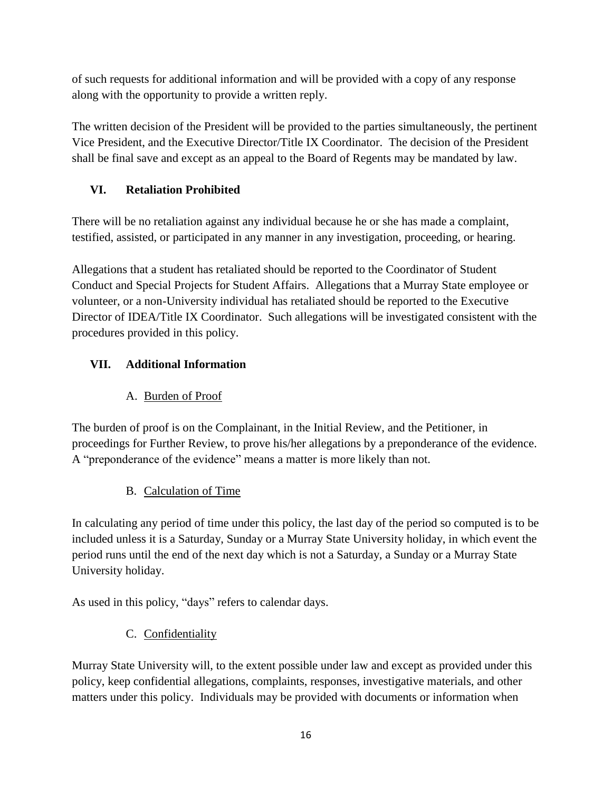of such requests for additional information and will be provided with a copy of any response along with the opportunity to provide a written reply.

The written decision of the President will be provided to the parties simultaneously, the pertinent Vice President, and the Executive Director/Title IX Coordinator. The decision of the President shall be final save and except as an appeal to the Board of Regents may be mandated by law.

# **VI. Retaliation Prohibited**

There will be no retaliation against any individual because he or she has made a complaint, testified, assisted, or participated in any manner in any investigation, proceeding, or hearing.

Allegations that a student has retaliated should be reported to the Coordinator of Student Conduct and Special Projects for Student Affairs. Allegations that a Murray State employee or volunteer, or a non-University individual has retaliated should be reported to the Executive Director of IDEA/Title IX Coordinator. Such allegations will be investigated consistent with the procedures provided in this policy.

# **VII. Additional Information**

# A. Burden of Proof

The burden of proof is on the Complainant, in the Initial Review, and the Petitioner, in proceedings for Further Review, to prove his/her allegations by a preponderance of the evidence. A "preponderance of the evidence" means a matter is more likely than not.

# B. Calculation of Time

In calculating any period of time under this policy, the last day of the period so computed is to be included unless it is a Saturday, Sunday or a Murray State University holiday, in which event the period runs until the end of the next day which is not a Saturday, a Sunday or a Murray State University holiday.

As used in this policy, "days" refers to calendar days.

# C. Confidentiality

Murray State University will, to the extent possible under law and except as provided under this policy, keep confidential allegations, complaints, responses, investigative materials, and other matters under this policy. Individuals may be provided with documents or information when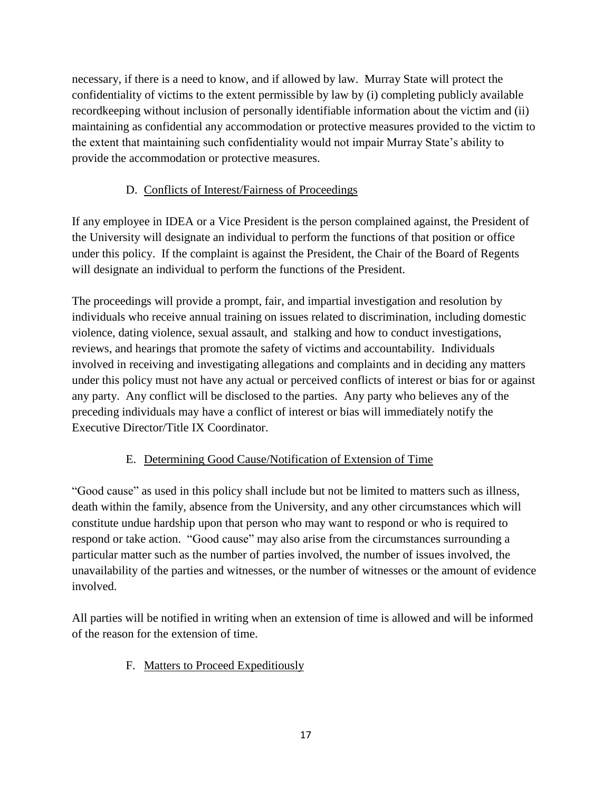necessary, if there is a need to know, and if allowed by law. Murray State will protect the confidentiality of victims to the extent permissible by law by (i) completing publicly available recordkeeping without inclusion of personally identifiable information about the victim and (ii) maintaining as confidential any accommodation or protective measures provided to the victim to the extent that maintaining such confidentiality would not impair Murray State's ability to provide the accommodation or protective measures.

# D. Conflicts of Interest/Fairness of Proceedings

If any employee in IDEA or a Vice President is the person complained against, the President of the University will designate an individual to perform the functions of that position or office under this policy. If the complaint is against the President, the Chair of the Board of Regents will designate an individual to perform the functions of the President.

The proceedings will provide a prompt, fair, and impartial investigation and resolution by individuals who receive annual training on issues related to discrimination, including domestic violence, dating violence, sexual assault, and stalking and how to conduct investigations, reviews, and hearings that promote the safety of victims and accountability. Individuals involved in receiving and investigating allegations and complaints and in deciding any matters under this policy must not have any actual or perceived conflicts of interest or bias for or against any party. Any conflict will be disclosed to the parties. Any party who believes any of the preceding individuals may have a conflict of interest or bias will immediately notify the Executive Director/Title IX Coordinator.

# E. Determining Good Cause/Notification of Extension of Time

"Good cause" as used in this policy shall include but not be limited to matters such as illness, death within the family, absence from the University, and any other circumstances which will constitute undue hardship upon that person who may want to respond or who is required to respond or take action. "Good cause" may also arise from the circumstances surrounding a particular matter such as the number of parties involved, the number of issues involved, the unavailability of the parties and witnesses, or the number of witnesses or the amount of evidence involved.

All parties will be notified in writing when an extension of time is allowed and will be informed of the reason for the extension of time.

# F. Matters to Proceed Expeditiously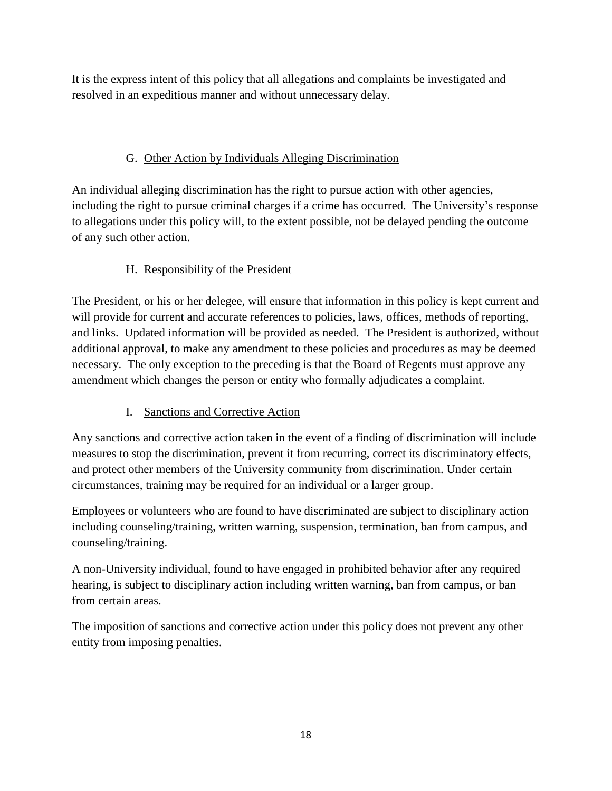It is the express intent of this policy that all allegations and complaints be investigated and resolved in an expeditious manner and without unnecessary delay.

# G. Other Action by Individuals Alleging Discrimination

An individual alleging discrimination has the right to pursue action with other agencies, including the right to pursue criminal charges if a crime has occurred. The University's response to allegations under this policy will, to the extent possible, not be delayed pending the outcome of any such other action.

# H. Responsibility of the President

The President, or his or her delegee, will ensure that information in this policy is kept current and will provide for current and accurate references to policies, laws, offices, methods of reporting, and links. Updated information will be provided as needed. The President is authorized, without additional approval, to make any amendment to these policies and procedures as may be deemed necessary. The only exception to the preceding is that the Board of Regents must approve any amendment which changes the person or entity who formally adjudicates a complaint.

# I. Sanctions and Corrective Action

Any sanctions and corrective action taken in the event of a finding of discrimination will include measures to stop the discrimination, prevent it from recurring, correct its discriminatory effects, and protect other members of the University community from discrimination. Under certain circumstances, training may be required for an individual or a larger group.

Employees or volunteers who are found to have discriminated are subject to disciplinary action including counseling/training, written warning, suspension, termination, ban from campus, and counseling/training.

A non-University individual, found to have engaged in prohibited behavior after any required hearing, is subject to disciplinary action including written warning, ban from campus, or ban from certain areas.

The imposition of sanctions and corrective action under this policy does not prevent any other entity from imposing penalties.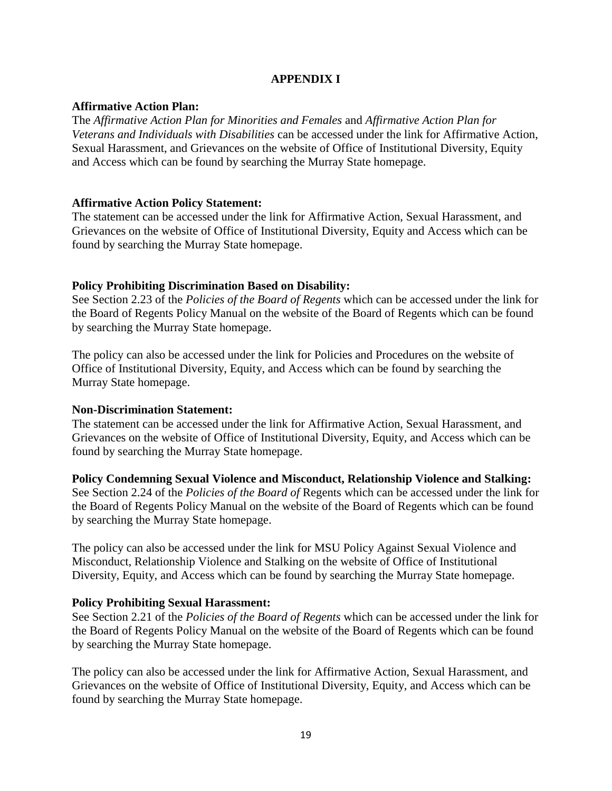## **APPENDIX I**

## **Affirmative Action Plan:**

The *Affirmative Action Plan for Minorities and Females* and *Affirmative Action Plan for Veterans and Individuals with Disabilities* can be accessed under the link for Affirmative Action, Sexual Harassment, and Grievances on the website of Office of Institutional Diversity, Equity and Access which can be found by searching the Murray State homepage.

## **Affirmative Action Policy Statement:**

The statement can be accessed under the link for Affirmative Action, Sexual Harassment, and Grievances on the website of Office of Institutional Diversity, Equity and Access which can be found by searching the Murray State homepage.

## **Policy Prohibiting Discrimination Based on Disability:**

See Section 2.23 of the *Policies of the Board of Regents* which can be accessed under the link for the Board of Regents Policy Manual on the website of the Board of Regents which can be found by searching the Murray State homepage.

The policy can also be accessed under the link for Policies and Procedures on the website of Office of Institutional Diversity, Equity, and Access which can be found by searching the Murray State homepage.

### **Non-Discrimination Statement:**

The statement can be accessed under the link for Affirmative Action, Sexual Harassment, and Grievances on the website of Office of Institutional Diversity, Equity, and Access which can be found by searching the Murray State homepage.

**Policy Condemning Sexual Violence and Misconduct, Relationship Violence and Stalking:** See Section 2.24 of the *Policies of the Board of* Regents which can be accessed under the link for the Board of Regents Policy Manual on the website of the Board of Regents which can be found by searching the Murray State homepage.

The policy can also be accessed under the link for MSU Policy Against Sexual Violence and Misconduct, Relationship Violence and Stalking on the website of Office of Institutional Diversity, Equity, and Access which can be found by searching the Murray State homepage.

## **Policy Prohibiting Sexual Harassment:**

See Section 2.21 of the *Policies of the Board of Regents* which can be accessed under the link for the Board of Regents Policy Manual on the website of the Board of Regents which can be found by searching the Murray State homepage.

The policy can also be accessed under the link for Affirmative Action, Sexual Harassment, and Grievances on the website of Office of Institutional Diversity, Equity, and Access which can be found by searching the Murray State homepage.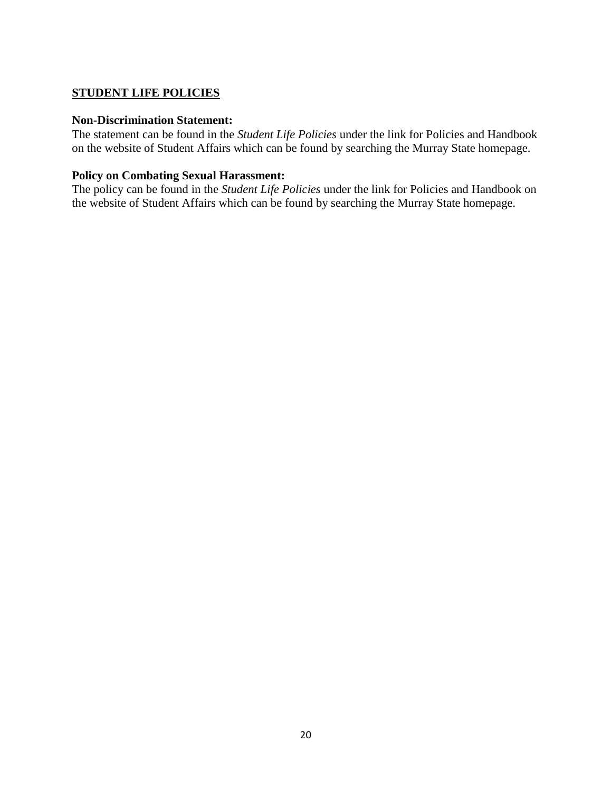## **STUDENT LIFE POLICIES**

#### **Non-Discrimination Statement:**

The statement can be found in the *Student Life Policies* under the link for Policies and Handbook on the website of Student Affairs which can be found by searching the Murray State homepage.

## **Policy on Combating Sexual Harassment:**

The policy can be found in the *Student Life Policies* under the link for Policies and Handbook on the website of Student Affairs which can be found by searching the Murray State homepage.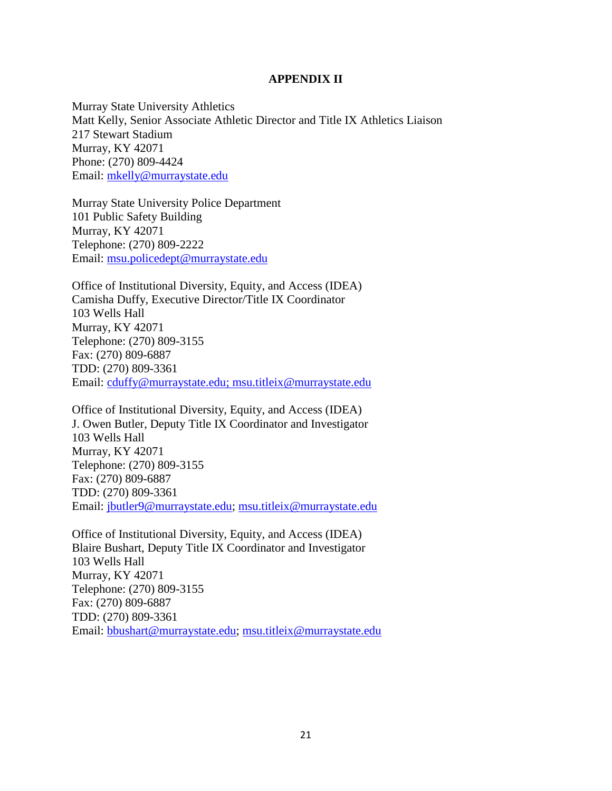#### **APPENDIX II**

Murray State University Athletics Matt Kelly, Senior Associate Athletic Director and Title IX Athletics Liaison 217 Stewart Stadium Murray, KY 42071 Phone: (270) 809-4424 Email: [mkelly@murraystate.edu](mailto:mkelly@murraystate.edu)

Murray State University Police Department 101 Public Safety Building Murray, KY 42071 Telephone: (270) 809-2222 Email: [msu.policedept@murraystate.edu](file://///robinhood/eq/Grievance%20Procedures%20&%20Other%20Procedures%20for%20Title%20IX/msu.policedept@murraystate.edu%20)

Office of Institutional Diversity, Equity, and Access (IDEA) Camisha Duffy, Executive Director/Title IX Coordinator 103 Wells Hall Murray, KY 42071 Telephone: (270) 809-3155 Fax: (270) 809-6887 TDD: (270) 809-3361 Email: [cduffy@murraystate.edu;](mailto:cduffy@murraystate.edu) [msu.titleix@murraystate.edu](mailto:msu.titleix@murraystate.edu) 

Office of Institutional Diversity, Equity, and Access (IDEA) J. Owen Butler, Deputy Title IX Coordinator and Investigator 103 Wells Hall Murray, KY 42071 Telephone: (270) 809-3155 Fax: (270) 809-6887 TDD: (270) 809-3361 Email: [jbutler9@murraystate.edu;](mailto:jbutler9@murraystate.edu) [msu.titleix@murraystate.edu](mailto:msu.titleix@murraystate.edu)

Office of Institutional Diversity, Equity, and Access (IDEA) Blaire Bushart, Deputy Title IX Coordinator and Investigator 103 Wells Hall Murray, KY 42071 Telephone: (270) 809-3155 Fax: (270) 809-6887 TDD: (270) 809-3361 Email: [bbushart@murraystate.edu;](mailto:dlockett2@murraystate.edu) [msu.titleix@murraystate.edu](mailto:msu.titleix@murraystate.edu)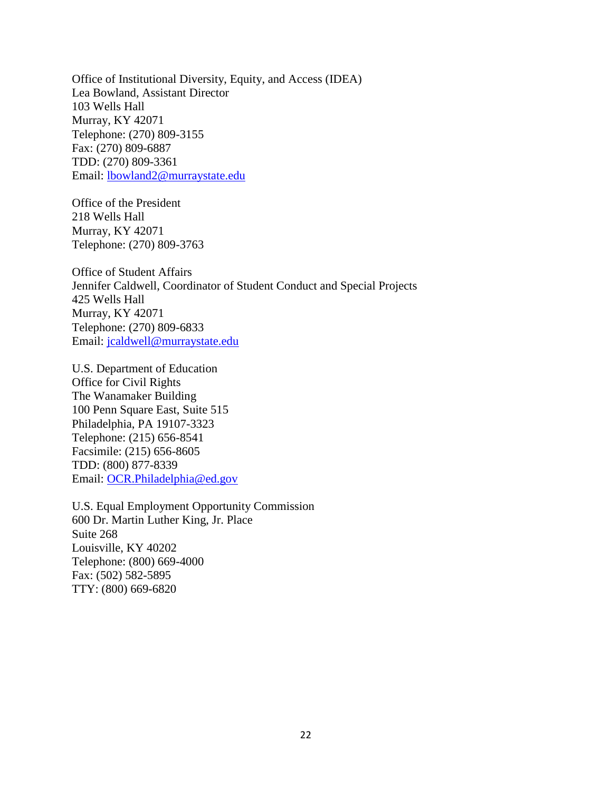Office of Institutional Diversity, Equity, and Access (IDEA) Lea Bowland, Assistant Director 103 Wells Hall Murray, KY 42071 Telephone: (270) 809-3155 Fax: (270) 809-6887 TDD: (270) 809-3361 Email: [lbowland2@murraystate.edu](mailto:lbowland2@murraystate.edu)

Office of the President 218 Wells Hall Murray, KY 42071 Telephone: (270) 809-3763

Office of Student Affairs Jennifer Caldwell, Coordinator of Student Conduct and Special Projects 425 Wells Hall Murray, KY 42071 Telephone: (270) 809-6833 Email: [jcaldwell@murraystate.edu](mailto:myoung@murraystate.edu)

U.S. Department of Education Office for Civil Rights The Wanamaker Building 100 Penn Square East, Suite 515 Philadelphia, PA 19107-3323 Telephone: (215) 656-8541 Facsimile: (215) 656-8605 TDD: (800) 877-8339 Email: [OCR.Philadelphia@ed.gov](mailto:OCR.Philadelphia@ed.gov)

U.S. Equal Employment Opportunity Commission 600 Dr. Martin Luther King, Jr. Place Suite 268 Louisville, KY 40202 Telephone: (800) 669-4000 Fax: (502) 582-5895 TTY: (800) 669-6820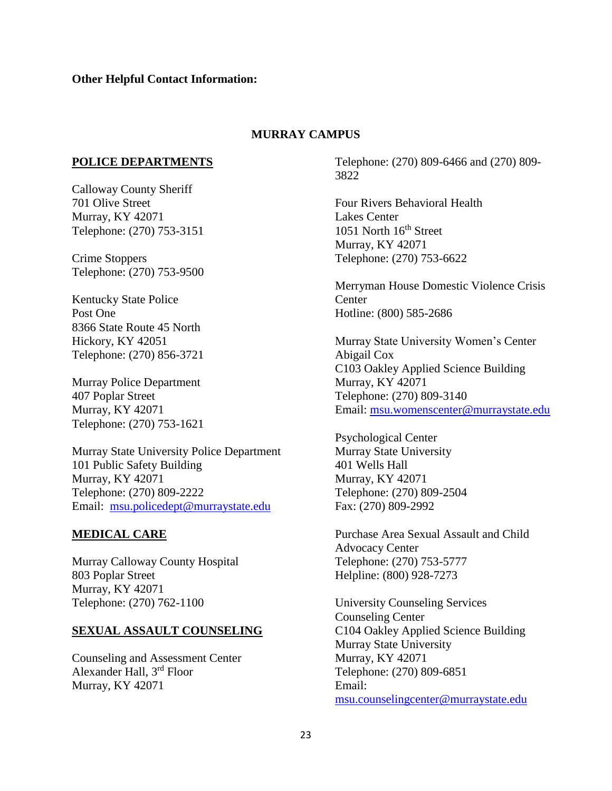#### **MURRAY CAMPUS**

#### **POLICE DEPARTMENTS**

Calloway County Sheriff 701 Olive Street Murray, KY 42071 Telephone: (270) 753-3151

Crime Stoppers Telephone: (270) 753-9500

Kentucky State Police Post One 8366 State Route 45 North Hickory, KY 42051 Telephone: (270) 856-3721

Murray Police Department 407 Poplar Street Murray, KY 42071 Telephone: (270) 753-1621

Murray State University Police Department 101 Public Safety Building Murray, KY 42071 Telephone: (270) 809-2222 Email: [msu.policedept@murraystate.edu](mailto:msu.policedept@murraystate.edu)

#### **MEDICAL CARE**

Murray Calloway County Hospital 803 Poplar Street Murray, KY 42071 Telephone: (270) 762-1100

#### **SEXUAL ASSAULT COUNSELING**

Counseling and Assessment Center Alexander Hall, 3rd Floor Murray, KY 42071

Telephone: (270) 809-6466 and (270) 809- 3822

Four Rivers Behavioral Health Lakes Center 1051 North  $16<sup>th</sup>$  Street Murray, KY 42071 Telephone: (270) 753-6622

Merryman House Domestic Violence Crisis **Center** Hotline: (800) 585-2686

Murray State University Women's Center Abigail Cox C103 Oakley Applied Science Building Murray, KY 42071 Telephone: (270) 809-3140 Email: [msu.womenscenter@murraystate.edu](mailto:msu.womenscenter@murraystate.edu)

Psychological Center Murray State University 401 Wells Hall Murray, KY 42071 Telephone: (270) 809-2504 Fax: (270) 809-2992

Purchase Area Sexual Assault and Child Advocacy Center Telephone: (270) 753-5777 Helpline: (800) 928-7273

University Counseling Services Counseling Center C104 Oakley Applied Science Building Murray State University Murray, KY 42071 Telephone: (270) 809-6851 Email: [msu.counselingcenter@murraystate.edu](mailto:msu.counselingcenter@murraystate.edu)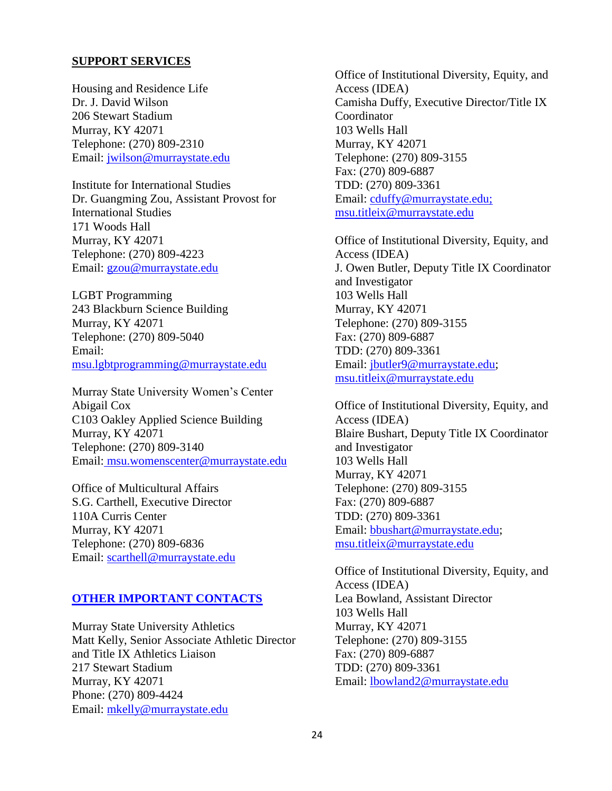#### **SUPPORT SERVICES**

Housing and Residence Life Dr. J. David Wilson 206 Stewart Stadium Murray, KY 42071 Telephone: (270) 809-2310 Email: [jwilson@murraystate.edu](mailto:jwilson@murraystate.edu)

Institute for International Studies Dr. Guangming Zou, Assistant Provost for International Studies 171 Woods Hall Murray, KY 42071 Telephone: (270) 809-4223 Email: [gzou@murraystate.edu](mailto:gzou@murraystate.edu)

LGBT Programming 243 Blackburn Science Building Murray, KY 42071 Telephone: (270) 809-5040 Email: [msu.lgbtprogramming@murraystate.edu](mailto:msu.lgbtprogramming@murraystate.edu)

Murray State University Women's Center Abigail Cox C103 Oakley Applied Science Building Murray, KY 42071 Telephone: (270) 809-3140 Email: [msu.womenscenter@murraystate.edu](mailto:msu.womenscenter@murraystate.edu)

Office of Multicultural Affairs S.G. Carthell, Executive Director 110A Curris Center Murray, KY 42071 Telephone: (270) 809-6836 Email: [scarthell@murraystate.edu](mailto:scarthell@murraystate.edu)

#### **OTHER IMPORTANT CONTACTS**

Murray State University Athletics Matt Kelly, Senior Associate Athletic Director and Title IX Athletics Liaison 217 Stewart Stadium Murray, KY 42071 Phone: (270) 809-4424 Email: [mkelly@murraystate.edu](mailto:mkelly@murraystate.edu)

Office of Institutional Diversity, Equity, and Access (IDEA) Camisha Duffy, Executive Director/Title IX Coordinator 103 Wells Hall Murray, KY 42071 Telephone: (270) 809-3155 Fax: (270) 809-6887 TDD: (270) 809-3361 Email: [cduffy@murraystate.edu;](mailto:cduffy@murraystate.edu) [msu.titleix@murraystate.edu](mailto:msu.titleix@murraystate.edu)

Office of Institutional Diversity, Equity, and Access (IDEA) J. Owen Butler, Deputy Title IX Coordinator and Investigator 103 Wells Hall Murray, KY 42071 Telephone: (270) 809-3155 Fax: (270) 809-6887 TDD: (270) 809-3361 Email: [jbutler9@murraystate.edu;](mailto:lcox15@murraystate.edu) [msu.titleix@murraystate.edu](mailto:msu.titleix@murraystate.edu)

Office of Institutional Diversity, Equity, and Access (IDEA) Blaire Bushart, Deputy Title IX Coordinator and Investigator 103 Wells Hall Murray, KY 42071 Telephone: (270) 809-3155 Fax: (270) 809-6887 TDD: (270) 809-3361 Email: [bbushart@murraystate.edu;](mailto:dlockett2@murraystate.edu) [msu.titleix@murraystate.edu](mailto:msu.titleix@murraystate.edu)

Office of Institutional Diversity, Equity, and Access (IDEA) Lea Bowland, Assistant Director 103 Wells Hall Murray, KY 42071 Telephone: (270) 809-3155 Fax: (270) 809-6887 TDD: (270) 809-3361 Email: [lbowland2@murraystate.edu](mailto:lbowland2@murraystate.edu)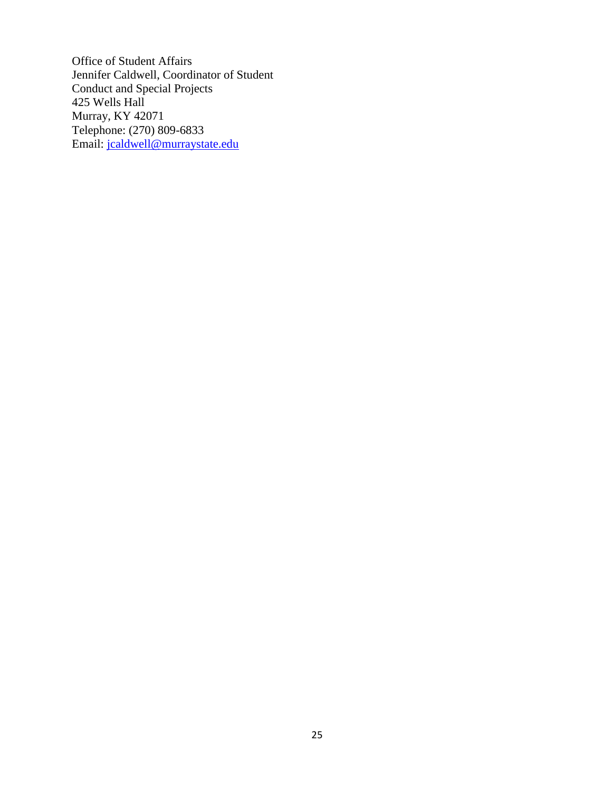Office of Student Affairs Jennifer Caldwell, Coordinator of Student Conduct and Special Projects 425 Wells Hall Murray, KY 42071 Telephone: (270) 809-6833 Email: [jcaldwell@murraystate.edu](mailto:myoung@murraystate.edu)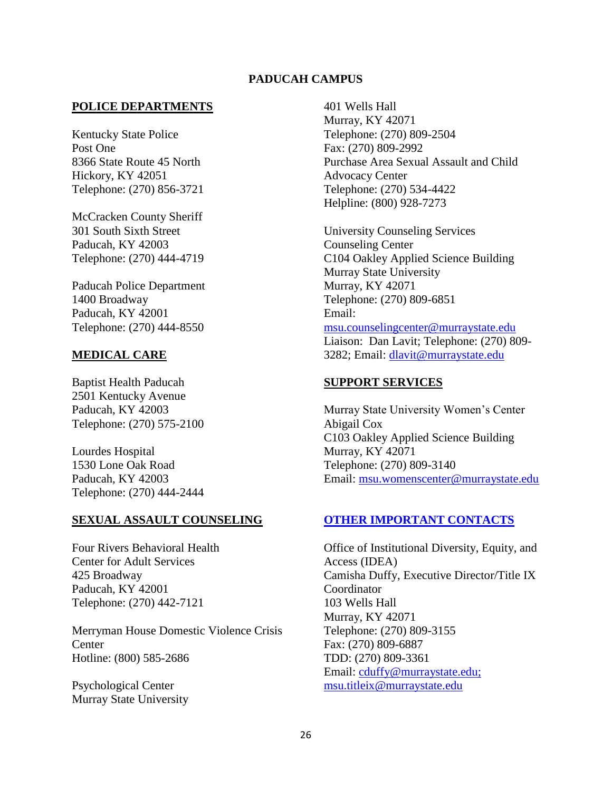### **PADUCAH CAMPUS**

#### **POLICE DEPARTMENTS**

Kentucky State Police Post One 8366 State Route 45 North Hickory, KY 42051 Telephone: (270) 856-3721

McCracken County Sheriff 301 South Sixth Street Paducah, KY 42003 Telephone: (270) 444-4719

Paducah Police Department 1400 Broadway Paducah, KY 42001 Telephone: (270) 444-8550

#### **MEDICAL CARE**

Baptist Health Paducah 2501 Kentucky Avenue Paducah, KY 42003 Telephone: (270) 575-2100

Lourdes Hospital 1530 Lone Oak Road Paducah, KY 42003 Telephone: (270) 444-2444

#### **SEXUAL ASSAULT COUNSELING**

Four Rivers Behavioral Health Center for Adult Services 425 Broadway Paducah, KY 42001 Telephone: (270) 442-7121

Merryman House Domestic Violence Crisis **Center** Hotline: (800) 585-2686

Psychological Center Murray State University 401 Wells Hall Murray, KY 42071 Telephone: (270) 809-2504 Fax: (270) 809-2992 Purchase Area Sexual Assault and Child Advocacy Center Telephone: (270) 534-4422 Helpline: (800) 928-7273

University Counseling Services Counseling Center C104 Oakley Applied Science Building Murray State University Murray, KY 42071 Telephone: (270) 809-6851 Email: [msu.counselingcenter@murraystate.edu](mailto:msu.counselingcenter@murraystate.edu)

Liaison: Dan Lavit; Telephone: (270) 809- 3282; Email: [dlavit@murraystate.edu](mailto:bvanhorn@murraystate.edu)

#### **SUPPORT SERVICES**

Murray State University Women's Center Abigail Cox C103 Oakley Applied Science Building Murray, KY 42071 Telephone: (270) 809-3140 Email: msu.womenscenter@murraystate.edu

### **OTHER IMPORTANT CONTACTS**

Office of Institutional Diversity, Equity, and Access (IDEA) Camisha Duffy, Executive Director/Title IX Coordinator 103 Wells Hall Murray, KY 42071 Telephone: (270) 809-3155 Fax: (270) 809-6887 TDD: (270) 809-3361 Email: [cduffy@murraystate.edu;](mailto:cduffy@murraystate.edu) [msu.titleix@murraystate.edu](mailto:msu.titleix@murraystate.edu)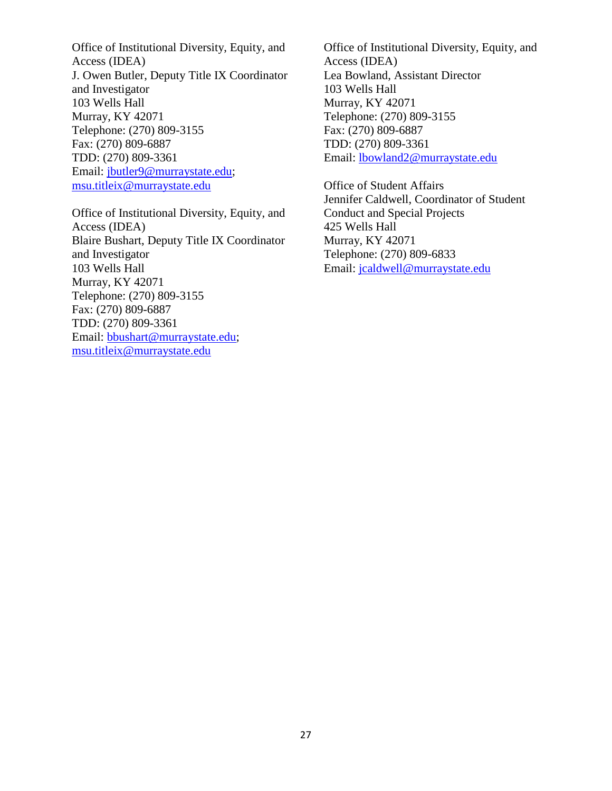Office of Institutional Diversity, Equity, and Access (IDEA) J. Owen Butler, Deputy Title IX Coordinator and Investigator 103 Wells Hall Murray, KY 42071 Telephone: (270) 809-3155 Fax: (270) 809-6887 TDD: (270) 809-3361 Email: [jbutler9@murraystate.edu;](mailto:lcox15@murraystate.edu) [msu.titleix@murraystate.edu](mailto:msu.titleix@murraystate.edu)

Office of Institutional Diversity, Equity, and Access (IDEA) Blaire Bushart, Deputy Title IX Coordinator and Investigator 103 Wells Hall Murray, KY 42071 Telephone: (270) 809-3155 Fax: (270) 809-6887 TDD: (270) 809-3361 Email: [bbushart@murraystate.edu;](mailto:dlockett2@murraystate.edu) [msu.titleix@murraystate.edu](mailto:msu.titleix@murraystate.edu)

Office of Institutional Diversity, Equity, and Access (IDEA) Lea Bowland, Assistant Director 103 Wells Hall Murray, KY 42071 Telephone: (270) 809-3155 Fax: (270) 809-6887 TDD: (270) 809-3361 Email: [lbowland2@murraystate.edu](mailto:lbowland2@murraystate.edu)

Office of Student Affairs Jennifer Caldwell, Coordinator of Student Conduct and Special Projects 425 Wells Hall Murray, KY 42071 Telephone: (270) 809-6833 Email: [jcaldwell@murraystate.edu](mailto:myoung@murraystate.edu)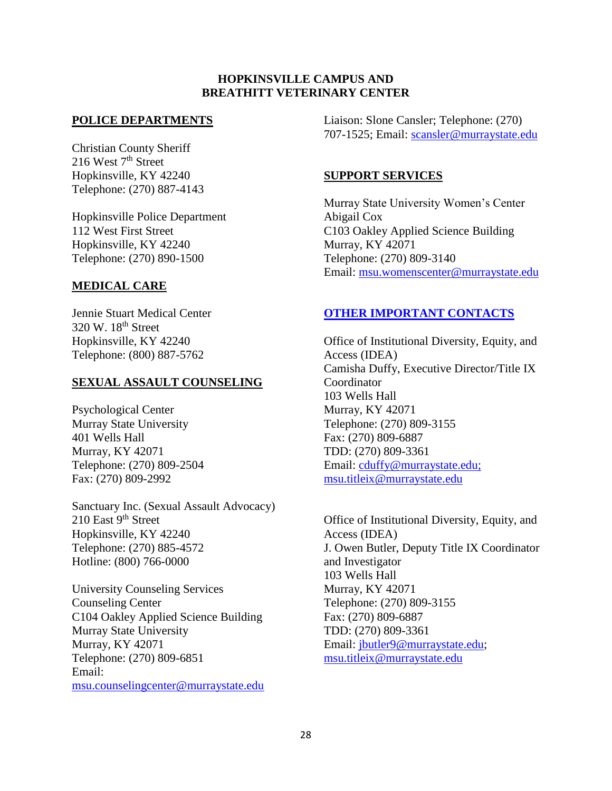### **HOPKINSVILLE CAMPUS AND BREATHITT VETERINARY CENTER**

### **POLICE DEPARTMENTS**

Christian County Sheriff 216 West  $7<sup>th</sup>$  Street Hopkinsville, KY 42240 Telephone: (270) 887-4143

Hopkinsville Police Department 112 West First Street Hopkinsville, KY 42240 Telephone: (270) 890-1500

#### **MEDICAL CARE**

Jennie Stuart Medical Center 320 W. 18<sup>th</sup> Street Hopkinsville, KY 42240 Telephone: (800) 887-5762

#### **SEXUAL ASSAULT COUNSELING**

Psychological Center Murray State University 401 Wells Hall Murray, KY 42071 Telephone: (270) 809-2504 Fax: (270) 809-2992

Sanctuary Inc. (Sexual Assault Advocacy) 210 East 9<sup>th</sup> Street Hopkinsville, KY 42240 Telephone: (270) 885-4572 Hotline: (800) 766-0000

University Counseling Services Counseling Center C104 Oakley Applied Science Building Murray State University Murray, KY 42071 Telephone: (270) 809-6851 Email: [msu.counselingcenter@murraystate.edu](mailto:msu.counselingcenter@murraystate.edu) Liaison: Slone Cansler; Telephone: (270) 707-1525; Email: [scansler@murraystate.edu](mailto:scansler@murraystate.edu)

#### **SUPPORT SERVICES**

Murray State University Women's Center Abigail Cox C103 Oakley Applied Science Building Murray, KY 42071 Telephone: (270) 809-3140 Email: [msu.womenscenter@murraystate.edu](mailto:msu.womenscenter@murraystate.edu)

### **OTHER IMPORTANT CONTACTS**

Office of Institutional Diversity, Equity, and Access (IDEA) Camisha Duffy, Executive Director/Title IX **Coordinator** 103 Wells Hall Murray, KY 42071 Telephone: (270) 809-3155 Fax: (270) 809-6887 TDD: (270) 809-3361 Email: [cduffy@murraystate.edu;](mailto:cduffy@murraystate.edu) [msu.titleix@murraystate.edu](mailto:msu.titleix@murraystate.edu)

Office of Institutional Diversity, Equity, and Access (IDEA) J. Owen Butler, Deputy Title IX Coordinator and Investigator 103 Wells Hall Murray, KY 42071 Telephone: (270) 809-3155 Fax: (270) 809-6887 TDD: (270) 809-3361 Email: [jbutler9@murraystate.edu;](mailto:lcox15@murraystate.edu) [msu.titleix@murraystate.edu](mailto:msu.titleix@murraystate.edu)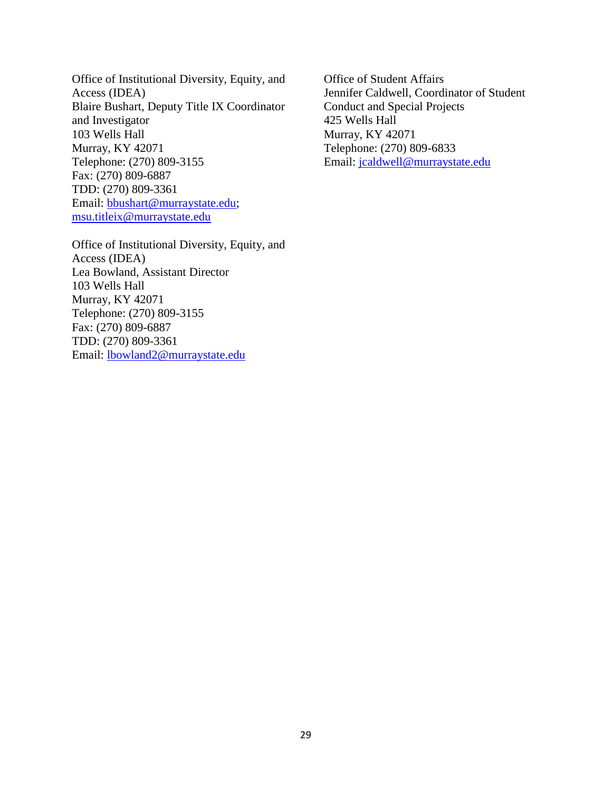Office of Institutional Diversity, Equity, and Access (IDEA) Blaire Bushart, Deputy Title IX Coordinator and Investigator 103 Wells Hall Murray, KY 42071 Telephone: (270) 809-3155 Fax: (270) 809-6887 TDD: (270) 809-3361 Email: [bbushart@murraystate.edu;](mailto:dlockett2@murraystate.edu) [msu.titleix@murraystate.edu](mailto:msu.titleix@murraystate.edu)

Office of Institutional Diversity, Equity, and Access (IDEA) Lea Bowland, Assistant Director 103 Wells Hall Murray, KY 42071 Telephone: (270) 809-3155 Fax: (270) 809-6887 TDD: (270) 809-3361 Email: [lbowland2@murraystate.edu](mailto:lbowland2@murraystate.edu)

Office of Student Affairs Jennifer Caldwell, Coordinator of Student Conduct and Special Projects 425 Wells Hall Murray, KY 42071 Telephone: (270) 809-6833 Email: [jcaldwell@murraystate.edu](mailto:myoung@murraystate.edu)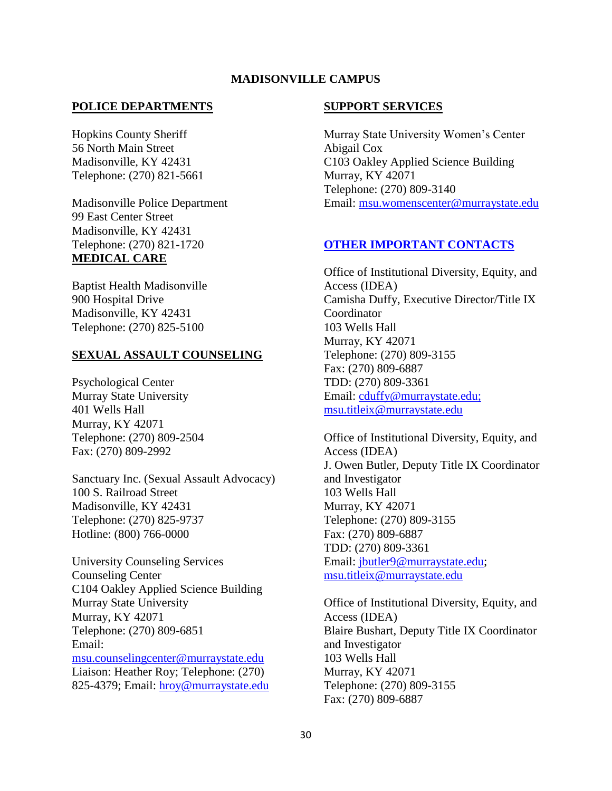### **MADISONVILLE CAMPUS**

#### **POLICE DEPARTMENTS**

Hopkins County Sheriff 56 North Main Street Madisonville, KY 42431 Telephone: (270) 821-5661

Madisonville Police Department 99 East Center Street Madisonville, KY 42431 Telephone: (270) 821-1720 **MEDICAL CARE**

Baptist Health Madisonville 900 Hospital Drive Madisonville, KY 42431 Telephone: (270) 825-5100

#### **SEXUAL ASSAULT COUNSELING**

Psychological Center Murray State University 401 Wells Hall Murray, KY 42071 Telephone: (270) 809-2504 Fax: (270) 809-2992

Sanctuary Inc. (Sexual Assault Advocacy) 100 S. Railroad Street Madisonville, KY 42431 Telephone: (270) 825-9737 Hotline: (800) 766-0000

University Counseling Services Counseling Center C104 Oakley Applied Science Building Murray State University Murray, KY 42071 Telephone: (270) 809-6851 Email: [msu.counselingcenter@murraystate.edu](mailto:msu.counselingcenter@murraystate.edu) Liaison: Heather Roy; Telephone: (270) 825-4379; Email: [hroy@murraystate.edu](mailto:hroy@murraystate.edu)

#### **SUPPORT SERVICES**

Murray State University Women's Center Abigail Cox C103 Oakley Applied Science Building Murray, KY 42071 Telephone: (270) 809-3140 Email: [msu.womenscenter@murraystate.edu](mailto:msu.womenscenter@murraystate.edu)

#### **OTHER IMPORTANT CONTACTS**

Office of Institutional Diversity, Equity, and Access (IDEA) Camisha Duffy, Executive Director/Title IX Coordinator 103 Wells Hall Murray, KY 42071 Telephone: (270) 809-3155 Fax: (270) 809-6887 TDD: (270) 809-3361 Email: [cduffy@murraystate.edu;](mailto:cduffy@murraystate.edu) [msu.titleix@murraystate.edu](mailto:msu.titleix@murraystate.edu)

Office of Institutional Diversity, Equity, and Access (IDEA) J. Owen Butler, Deputy Title IX Coordinator and Investigator 103 Wells Hall Murray, KY 42071 Telephone: (270) 809-3155 Fax: (270) 809-6887 TDD: (270) 809-3361 Email: [jbutler9@murraystate.edu;](mailto:lcox15@murraystate.edu) [msu.titleix@murraystate.edu](mailto:msu.titleix@murraystate.edu)

Office of Institutional Diversity, Equity, and Access (IDEA) Blaire Bushart, Deputy Title IX Coordinator and Investigator 103 Wells Hall Murray, KY 42071 Telephone: (270) 809-3155 Fax: (270) 809-6887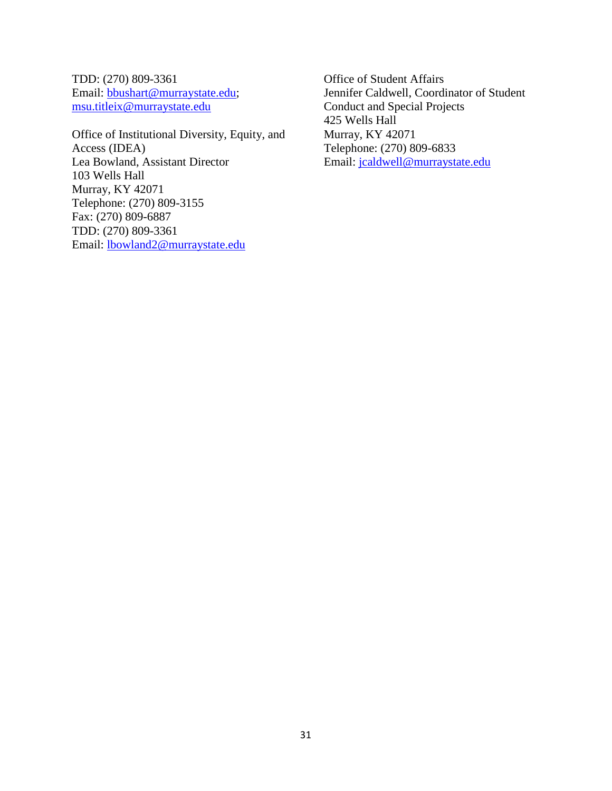TDD: (270) 809-3361 Email: [bbushart@murraystate.edu;](mailto:dlockett2@murraystate.edu) [msu.titleix@murraystate.edu](mailto:msu.titleix@murraystate.edu)

Office of Institutional Diversity, Equity, and Access (IDEA) Lea Bowland, Assistant Director 103 Wells Hall Murray, KY 42071 Telephone: (270) 809-3155 Fax: (270) 809-6887 TDD: (270) 809-3361 Email: [lbowland2@murraystate.edu](mailto:lbowland2@murraystate.edu)

Office of Student Affairs Jennifer Caldwell, Coordinator of Student Conduct and Special Projects 425 Wells Hall Murray, KY 42071 Telephone: (270) 809-6833 Email: [jcaldwell@murraystate.edu](mailto:myoung@murraystate.edu)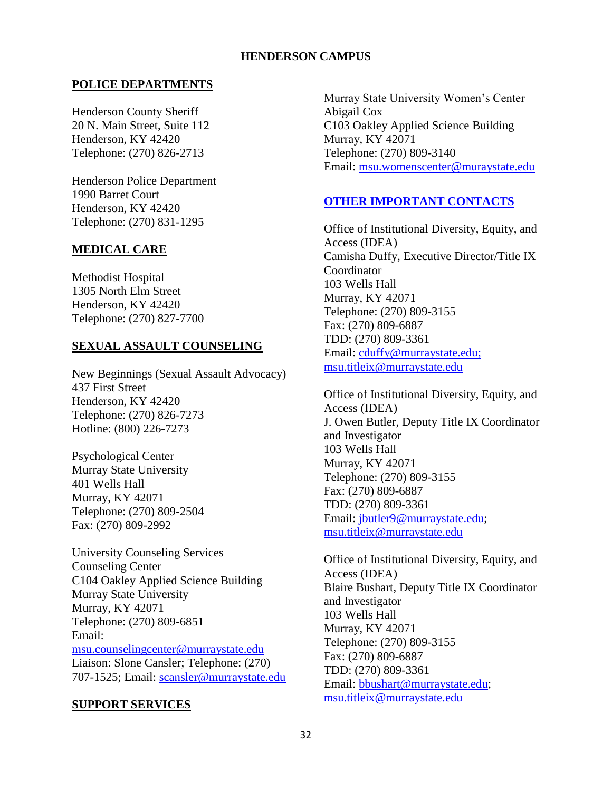### **HENDERSON CAMPUS**

### **POLICE DEPARTMENTS**

Henderson County Sheriff 20 N. Main Street, Suite 112 Henderson, KY 42420 Telephone: (270) 826-2713

Henderson Police Department 1990 Barret Court Henderson, KY 42420 Telephone: (270) 831-1295

### **MEDICAL CARE**

Methodist Hospital 1305 North Elm Street Henderson, KY 42420 Telephone: (270) 827-7700

#### **SEXUAL ASSAULT COUNSELING**

New Beginnings (Sexual Assault Advocacy) 437 First Street Henderson, KY 42420 Telephone: (270) 826-7273 Hotline: (800) 226-7273

Psychological Center Murray State University 401 Wells Hall Murray, KY 42071 Telephone: (270) 809-2504 Fax: (270) 809-2992

University Counseling Services Counseling Center C104 Oakley Applied Science Building Murray State University Murray, KY 42071 Telephone: (270) 809-6851 Email: [msu.counselingcenter@murraystate.edu](mailto:msu.counselingcenter@murraystate.edu) Liaison: Slone Cansler; Telephone: (270) 707-1525; Email: [scansler@murraystate.edu](mailto:scansler@murraystate.edu)

#### **SUPPORT SERVICES**

Murray State University Women's Center Abigail Cox C103 Oakley Applied Science Building Murray, KY 42071 Telephone: (270) 809-3140 Email: msu.womenscenter@muraystate.edu

#### **OTHER IMPORTANT CONTACTS**

Office of Institutional Diversity, Equity, and Access (IDEA) Camisha Duffy, Executive Director/Title IX **Coordinator** 103 Wells Hall Murray, KY 42071 Telephone: (270) 809-3155 Fax: (270) 809-6887 TDD: (270) 809-3361 Email: [cduffy@murraystate.edu;](mailto:cduffy@murraystate.edu) [msu.titleix@murraystate.edu](mailto:msu.titleix@murraystate.edu)

Office of Institutional Diversity, Equity, and Access (IDEA) J. Owen Butler, Deputy Title IX Coordinator and Investigator 103 Wells Hall Murray, KY 42071 Telephone: (270) 809-3155 Fax: (270) 809-6887 TDD: (270) 809-3361 Email: [jbutler9@murraystate.edu;](mailto:lcox15@murraystate.edu) [msu.titleix@murraystate.edu](mailto:msu.titleix@murraystate.edu)

Office of Institutional Diversity, Equity, and Access (IDEA) Blaire Bushart, Deputy Title IX Coordinator and Investigator 103 Wells Hall Murray, KY 42071 Telephone: (270) 809-3155 Fax: (270) 809-6887 TDD: (270) 809-3361 Email: [bbushart@murraystate.edu;](mailto:dlockett2@murraystate.edu) [msu.titleix@murraystate.edu](mailto:msu.titleix@murraystate.edu)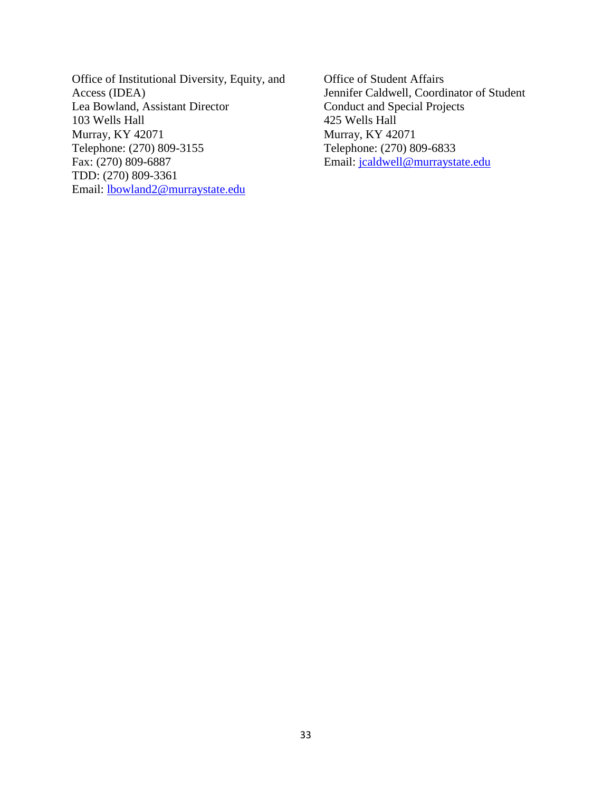Office of Institutional Diversity, Equity, and Access (IDEA) Lea Bowland, Assistant Director 103 Wells Hall Murray, KY 42071 Telephone: (270) 809-3155 Fax: (270) 809-6887 TDD: (270) 809-3361 Email: [lbowland2@murraystate.edu](mailto:lbowland2@murraystate.edu)

Office of Student Affairs Jennifer Caldwell, Coordinator of Student Conduct and Special Projects 425 Wells Hall Murray, KY 42071 Telephone: (270) 809-6833 Email: [jcaldwell@murraystate.edu](mailto:myoung@murraystate.edu)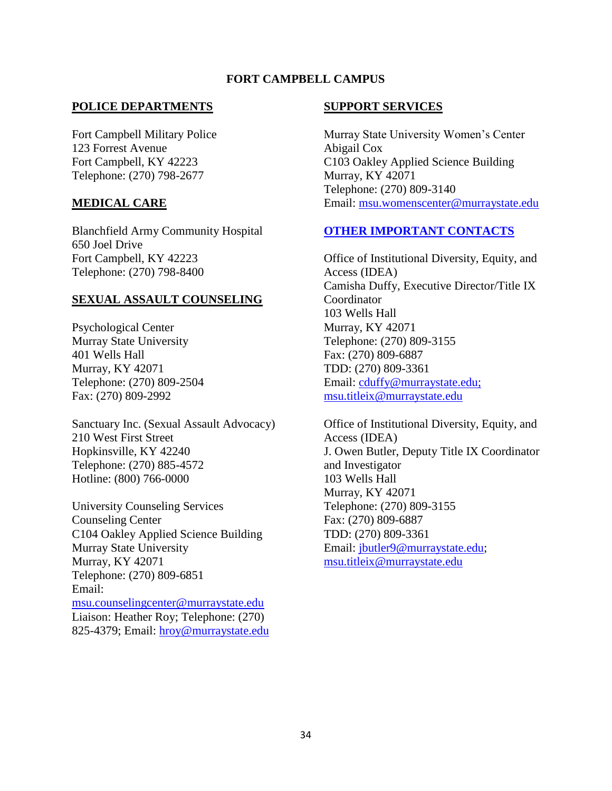## **FORT CAMPBELL CAMPUS**

### **POLICE DEPARTMENTS**

Fort Campbell Military Police 123 Forrest Avenue Fort Campbell, KY 42223 Telephone: (270) 798-2677

### **MEDICAL CARE**

Blanchfield Army Community Hospital 650 Joel Drive Fort Campbell, KY 42223 Telephone: (270) 798-8400

## **SEXUAL ASSAULT COUNSELING**

Psychological Center Murray State University 401 Wells Hall Murray, KY 42071 Telephone: (270) 809-2504 Fax: (270) 809-2992

Sanctuary Inc. (Sexual Assault Advocacy) 210 West First Street Hopkinsville, KY 42240 Telephone: (270) 885-4572 Hotline: (800) 766-0000

University Counseling Services Counseling Center C104 Oakley Applied Science Building Murray State University Murray, KY 42071 Telephone: (270) 809-6851 Email: [msu.counselingcenter@murraystate.edu](mailto:msu.counselingcenter@murraystate.edu) Liaison: Heather Roy; Telephone: (270) 825-4379; Email: hroy@murraystate.edu

### **SUPPORT SERVICES**

Murray State University Women's Center Abigail Cox C103 Oakley Applied Science Building Murray, KY 42071 Telephone: (270) 809-3140 Email: msu.womenscenter@murraystate.edu

## **OTHER IMPORTANT CONTACTS**

Office of Institutional Diversity, Equity, and Access (IDEA) Camisha Duffy, Executive Director/Title IX Coordinator 103 Wells Hall Murray, KY 42071 Telephone: (270) 809-3155 Fax: (270) 809-6887 TDD: (270) 809-3361 Email: [cduffy@murraystate.edu;](mailto:cduffy@murraystate.edu) [msu.titleix@murraystate.edu](mailto:msu.titleix@murraystate.edu)

Office of Institutional Diversity, Equity, and Access (IDEA) J. Owen Butler, Deputy Title IX Coordinator and Investigator 103 Wells Hall Murray, KY 42071 Telephone: (270) 809-3155 Fax: (270) 809-6887 TDD: (270) 809-3361 Email: [jbutler9@murraystate.edu;](mailto:lcox15@murraystate.edu) [msu.titleix@murraystate.edu](mailto:msu.titleix@murraystate.edu)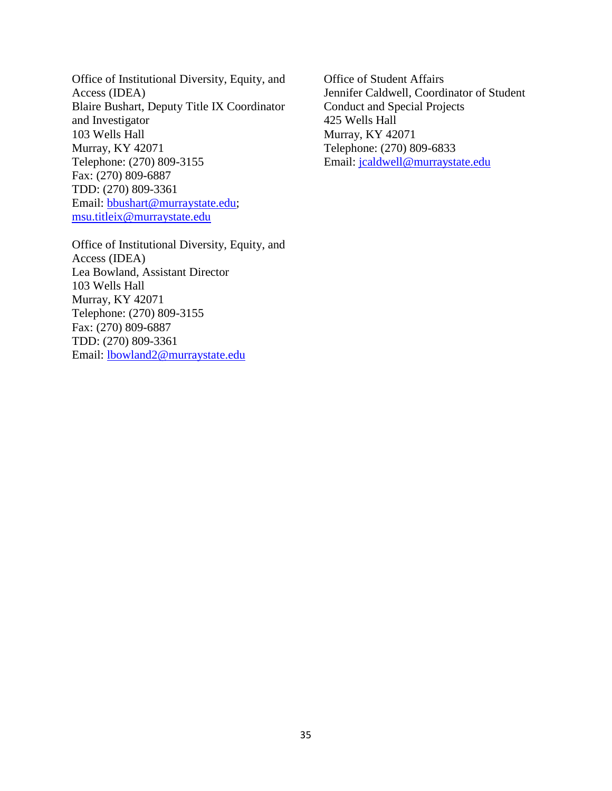Office of Institutional Diversity, Equity, and Access (IDEA) Blaire Bushart, Deputy Title IX Coordinator and Investigator 103 Wells Hall Murray, KY 42071 Telephone: (270) 809-3155 Fax: (270) 809-6887 TDD: (270) 809-3361 Email: [bbushart@murraystate.edu;](mailto:dlockett2@murraystate.edu) [msu.titleix@murraystate.edu](mailto:msu.titleix@murraystate.edu)

Office of Institutional Diversity, Equity, and Access (IDEA) Lea Bowland, Assistant Director 103 Wells Hall Murray, KY 42071 Telephone: (270) 809-3155 Fax: (270) 809-6887 TDD: (270) 809-3361 Email: [lbowland2@murraystate.edu](mailto:lbowland2@murraystate.edu)

Office of Student Affairs Jennifer Caldwell, Coordinator of Student Conduct and Special Projects 425 Wells Hall Murray, KY 42071 Telephone: (270) 809-6833 Email: [jcaldwell@murraystate.edu](mailto:myoung@murraystate.edu)